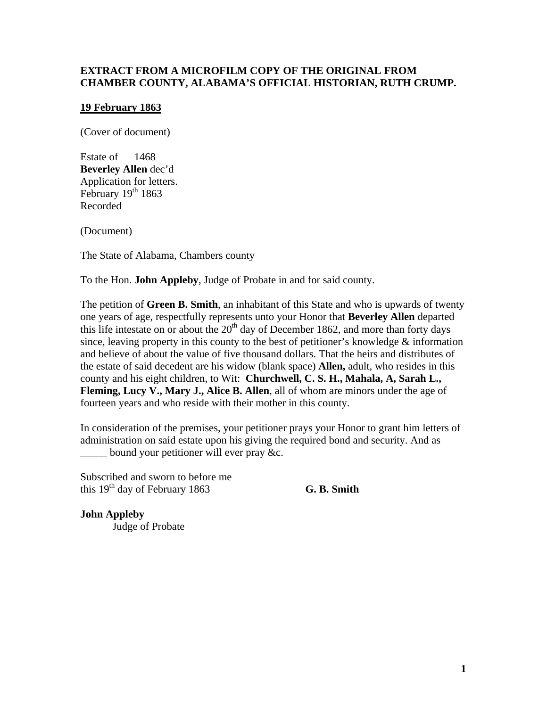## **EXTRACT FROM A MICROFILM COPY OF THE ORIGINAL FROM CHAMBER COUNTY, ALABAMA'S OFFICIAL HISTORIAN, RUTH CRUMP.**

## **19 February 1863**

(Cover of document)

Estate of 1468 **Beverley Allen** dec'd Application for letters. February 19th 1863 Recorded

(Document)

The State of Alabama, Chambers county

To the Hon. **John Appleby**, Judge of Probate in and for said county.

The petition of **Green B. Smith**, an inhabitant of this State and who is upwards of twenty one years of age, respectfully represents unto your Honor that **Beverley Allen** departed this life intestate on or about the  $20<sup>th</sup>$  day of December 1862, and more than forty days since, leaving property in this county to the best of petitioner's knowledge & information and believe of about the value of five thousand dollars. That the heirs and distributes of the estate of said decedent are his widow (blank space) **Allen,** adult, who resides in this county and his eight children, to Wit: **Churchwell, C. S. H., Mahala, A, Sarah L., Fleming, Lucy V., Mary J., Alice B. Allen**, all of whom are minors under the age of fourteen years and who reside with their mother in this county.

In consideration of the premises, your petitioner prays your Honor to grant him letters of administration on said estate upon his giving the required bond and security. And as bound your petitioner will ever pray &c.

Subscribed and sworn to before me this  $19<sup>th</sup>$  day of February 1863 **G. B. Smith** 

**John Appleby** Judge of Probate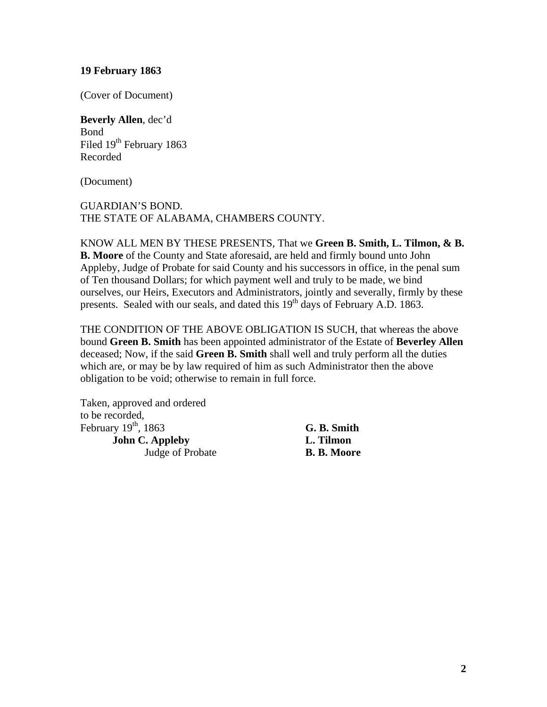#### **19 February 1863**

(Cover of Document)

## **Beverly Allen**, dec'd Bond

Filed 19<sup>th</sup> February 1863 Recorded

(Document)

## GUARDIAN'S BOND. THE STATE OF ALABAMA, CHAMBERS COUNTY.

KNOW ALL MEN BY THESE PRESENTS, That we **Green B. Smith, L. Tilmon, & B. B. Moore** of the County and State aforesaid, are held and firmly bound unto John Appleby, Judge of Probate for said County and his successors in office, in the penal sum of Ten thousand Dollars; for which payment well and truly to be made, we bind ourselves, our Heirs, Executors and Administrators, jointly and severally, firmly by these presents. Sealed with our seals, and dated this  $19<sup>th</sup>$  days of February A.D. 1863.

THE CONDITION OF THE ABOVE OBLIGATION IS SUCH, that whereas the above bound **Green B. Smith** has been appointed administrator of the Estate of **Beverley Allen** deceased; Now, if the said **Green B. Smith** shall well and truly perform all the duties which are, or may be by law required of him as such Administrator then the above obligation to be void; otherwise to remain in full force.

Taken, approved and ordered to be recorded, February 19<sup>th</sup>, 1863 **G. B. Smith John C. Appleby L. Tilmon**  Judge of Probate **B. B. Moore**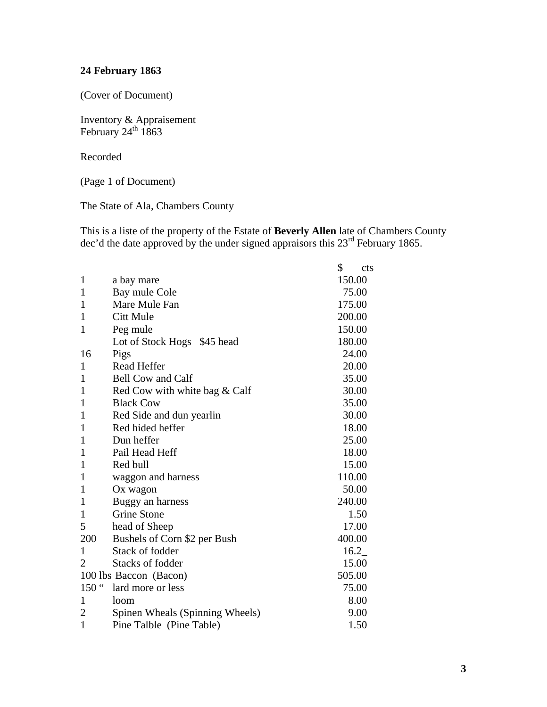# **24 February 1863**

(Cover of Document)

Inventory & Appraisement February  $24^{\text{th}}$  1863

Recorded

(Page 1 of Document)

The State of Ala, Chambers County

This is a liste of the property of the Estate of **Beverly Allen** late of Chambers County dec'd the date approved by the under signed appraisors this  $23<sup>rd</sup>$  February 1865.

|                  |                                 | \$<br><b>cts</b> |
|------------------|---------------------------------|------------------|
| 1                | a bay mare                      | 150.00           |
| 1                | Bay mule Cole                   | 75.00            |
| $\mathbf{1}$     | Mare Mule Fan                   | 175.00           |
| 1                | Citt Mule                       | 200.00           |
| $\mathbf{1}$     | Peg mule                        | 150.00           |
|                  | Lot of Stock Hogs \$45 head     | 180.00           |
| 16               | Pigs                            | 24.00            |
| 1                | <b>Read Heffer</b>              | 20.00            |
| 1                | <b>Bell Cow and Calf</b>        | 35.00            |
| 1                | Red Cow with white bag & Calf   | 30.00            |
| $\mathbf{1}$     | <b>Black Cow</b>                | 35.00            |
| 1                | Red Side and dun yearlin        | 30.00            |
| 1                | Red hided heffer                | 18.00            |
| $\mathbf{1}$     | Dun heffer                      | 25.00            |
| 1                | Pail Head Heff                  | 18.00            |
| 1                | Red bull                        | 15.00            |
| $\mathbf{1}$     | waggon and harness              | 110.00           |
| $\mathbf{1}$     | Ox wagon                        | 50.00            |
| 1                | Buggy an harness                | 240.00           |
| 1                | <b>Grine Stone</b>              | 1.50             |
| 5                | head of Sheep                   | 17.00            |
| 200              | Bushels of Corn \$2 per Bush    | 400.00           |
| 1                | Stack of fodder                 | 16.2             |
| $\overline{2}$   | <b>Stacks of fodder</b>         | 15.00            |
|                  | 100 lbs Baccon (Bacon)          | 505.00           |
| 150 <sup>"</sup> | lard more or less               | 75.00            |
| $\mathbf{1}$     | loom                            | 8.00             |
| $\overline{2}$   | Spinen Wheals (Spinning Wheels) | 9.00             |
| 1                | Pine Talble (Pine Table)        | 1.50             |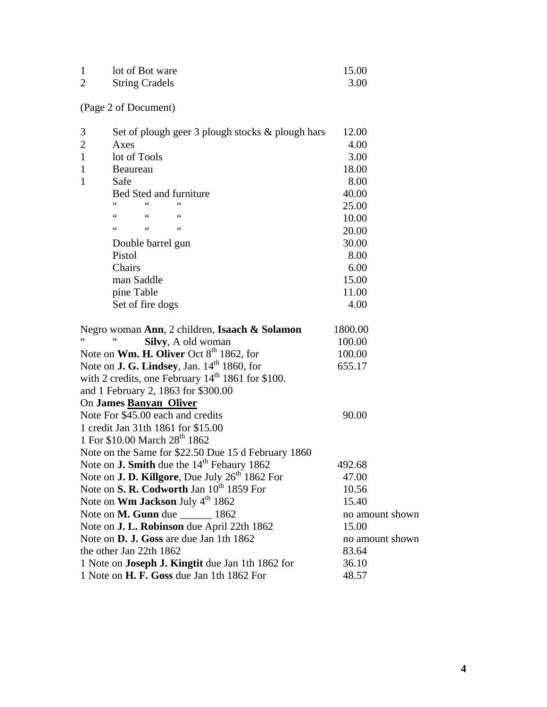| lot of Bot ware       | 15.00 |
|-----------------------|-------|
| <b>String Cradels</b> | 3.00  |

(Page 2 of Document)

| 3<br>Set of plough geer 3 plough stocks & plough hars              | 12.00           |
|--------------------------------------------------------------------|-----------------|
| $\overline{2}$<br>Axes                                             | 4.00            |
| $\mathbf{1}$<br>lot of Tools                                       | 3.00            |
| 1<br>Beaureau                                                      | 18.00           |
| $\mathbf{1}$<br>Safe                                               | 8.00            |
| Bed Sted and furniture                                             | 40.00           |
|                                                                    | 25.00           |
| 66<br>66<br>$\leq$                                                 | 10.00           |
| $\epsilon$<br>$\leq$ $\leq$<br>$\epsilon$                          | 20.00           |
| Double barrel gun                                                  | 30.00           |
| Pistol                                                             | 8.00            |
| Chairs                                                             | 6.00            |
| man Saddle                                                         | 15.00           |
| pine Table                                                         | 11.00           |
| Set of fire dogs                                                   | 4.00            |
| Negro woman Ann, 2 children, Isaach & Solamon                      | 1800.00         |
| Silvy, A old woman                                                 | 100.00          |
| Note on <b>Wm. H. Oliver</b> Oct $8th$ 1862, for                   | 100.00          |
| Note on <b>J. G. Lindsey</b> , Jan. $14th$ 1860, for               | 655.17          |
| with 2 credits, one February 14 <sup>th</sup> 1861 for \$100.      |                 |
| and 1 February 2, 1863 for \$300.00                                |                 |
| On James Banyan Oliver                                             |                 |
| Note For \$45.00 each and credits                                  | 90.00           |
| 1 credit Jan 31th 1861 for \$15.00                                 |                 |
| 1 For \$10.00 March 28 <sup>th</sup> 1862                          |                 |
| Note on the Same for \$22.50 Due 15 d February 1860                |                 |
| Note on <b>J. Smith</b> due the 14 <sup>th</sup> Febaury 1862      | 492.68          |
| Note on <b>J. D. Killgore</b> , Due July 26 <sup>th</sup> 1862 For | 47.00           |
| Note on S. R. Codworth Jan 10 <sup>th</sup> 1859 For               | 10.56           |
| Note on Wm Jackson July 4 <sup>th</sup> 1862                       | 15.40           |
| Note on M. Gunn due 1862                                           | no amount shown |
| Note on J. L. Robinson due April 22th 1862                         | 15.00           |
| Note on D. J. Goss are due Jan 1th 1862                            | no amount shown |
| the other Jan 22th 1862                                            | 83.64           |
| 1 Note on <b>Joseph J. Kingtit</b> due Jan 1th 1862 for            | 36.10           |
| 1 Note on H. F. Goss due Jan 1th 1862 For                          | 48.57           |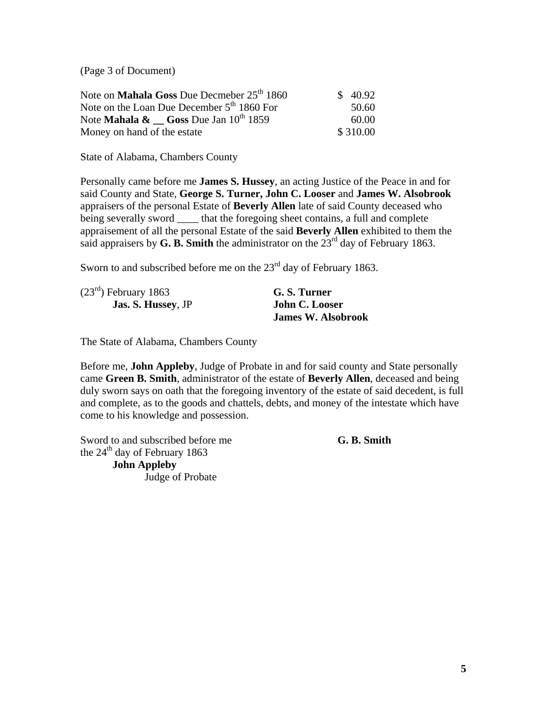(Page 3 of Document)

| Note on <b>Mahala Goss</b> Due Decmeber 25 <sup>th</sup> 1860 | \$40.92  |
|---------------------------------------------------------------|----------|
| Note on the Loan Due December $5th 1860$ For                  | 50.60    |
| Note <b>Mahala &amp;</b> Goss Due Jan $10^{th}$ 1859          | 60.00    |
| Money on hand of the estate                                   | \$310.00 |

State of Alabama, Chambers County

Personally came before me **James S. Hussey**, an acting Justice of the Peace in and for said County and State, **George S. Turner, John C. Looser** and **James W. Alsobrook** appraisers of the personal Estate of **Beverly Allen** late of said County deceased who being severally sword \_\_\_\_\_ that the foregoing sheet contains, a full and complete appraisement of all the personal Estate of the said **Beverly Allen** exhibited to them the said appraisers by **G. B. Smith** the administrator on the  $23<sup>rd</sup>$  day of February 1863.

Sworn to and subscribed before me on the 23<sup>rd</sup> day of February 1863.

| $(23rd)$ February 1863    | G. S. Turner              |
|---------------------------|---------------------------|
| <b>Jas. S. Hussey, JP</b> | <b>John C. Looser</b>     |
|                           | <b>James W. Alsobrook</b> |

The State of Alabama, Chambers County

Before me, **John Appleby**, Judge of Probate in and for said county and State personally came **Green B. Smith**, administrator of the estate of **Beverly Allen**, deceased and being duly sworn says on oath that the foregoing inventory of the estate of said decedent, is full and complete, as to the goods and chattels, debts, and money of the intestate which have come to his knowledge and possession.

Sword to and subscribed before me **G. B. Smith** the  $24<sup>th</sup>$  day of February 1863 **John Appleby** 

Judge of Probate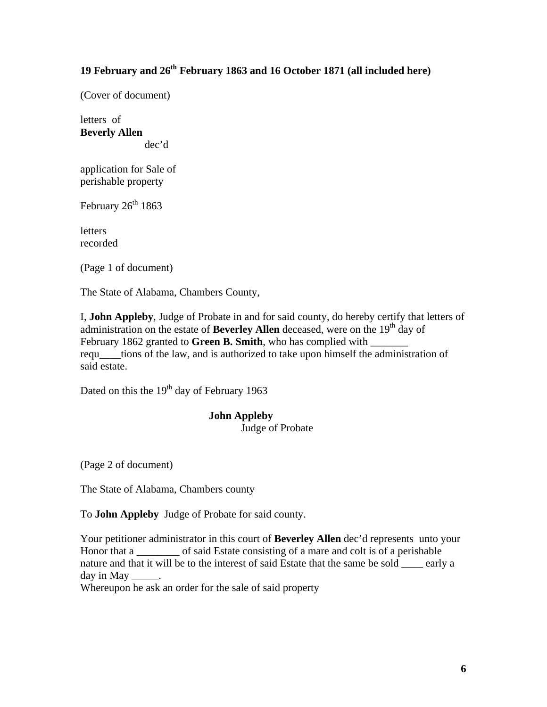# **19 February and 26th February 1863 and 16 October 1871 (all included here)**

(Cover of document)

letters of **Beverly Allen**  dec'd

application for Sale of perishable property

February  $26<sup>th</sup> 1863$ 

letters recorded

(Page 1 of document)

The State of Alabama, Chambers County,

I, **John Appleby**, Judge of Probate in and for said county, do hereby certify that letters of administration on the estate of **Beverley Allen** deceased, were on the 19<sup>th</sup> day of February 1862 granted to Green B. Smith, who has complied with requ\_\_\_\_tions of the law, and is authorized to take upon himself the administration of said estate.

Dated on this the 19<sup>th</sup> day of February 1963

#### **John Appleby**  Judge of Probate

(Page 2 of document)

The State of Alabama, Chambers county

To **John Appleby** Judge of Probate for said county.

Your petitioner administrator in this court of **Beverley Allen** dec'd represents unto your Honor that a consisting of a mare and colt is of a perishable nature and that it will be to the interest of said Estate that the same be sold \_\_\_\_ early a day in May

Whereupon he ask an order for the sale of said property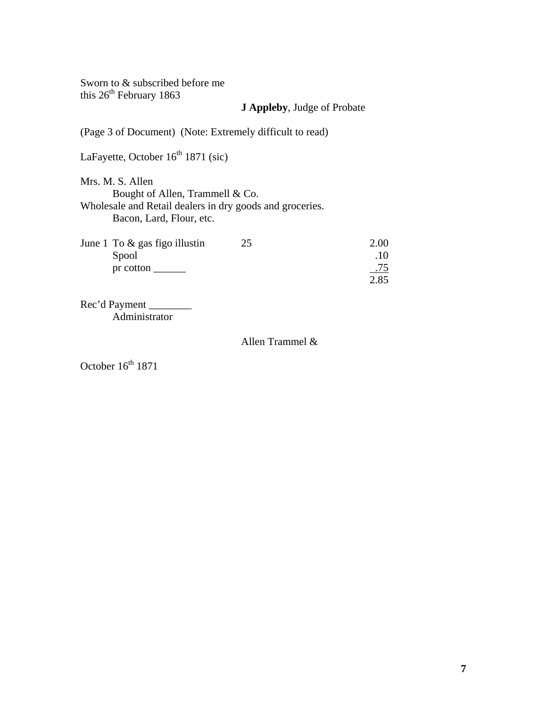Sworn to & subscribed before me this  $26<sup>th</sup>$  February 1863

## **J Appleby**, Judge of Probate

(Page 3 of Document) (Note: Extremely difficult to read) LaFayette, October  $16<sup>th</sup> 1871$  (sic) Mrs. M. S. Allen Bought of Allen, Trammell & Co. Wholesale and Retail dealers in dry goods and groceries. Bacon, Lard, Flour, etc. June 1 To  $\&$  gas figo illustin  $25$  2.00 Spool .10 pr cotton \_\_\_\_\_\_ .75 2.85

Rec'd Payment Administrator

#### Allen Trammel &

October  $16<sup>th</sup> 1871$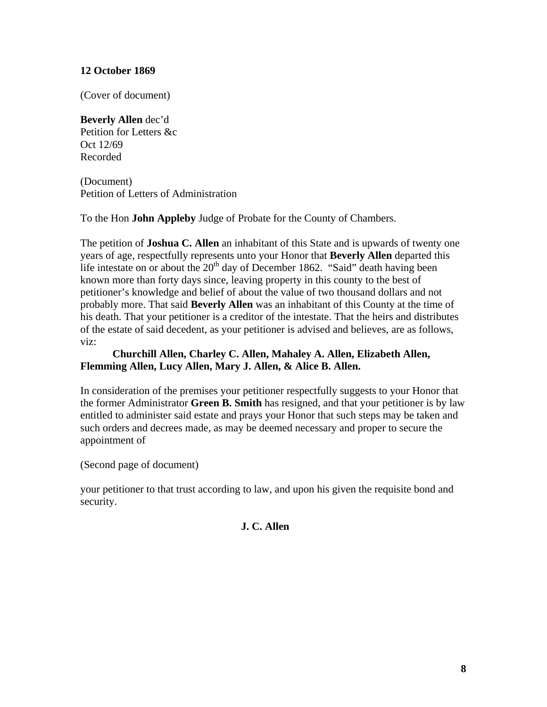## **12 October 1869**

(Cover of document)

**Beverly Allen** dec'd Petition for Letters &c Oct 12/69 Recorded

(Document) Petition of Letters of Administration

To the Hon **John Appleby** Judge of Probate for the County of Chambers.

The petition of **Joshua C. Allen** an inhabitant of this State and is upwards of twenty one years of age, respectfully represents unto your Honor that **Beverly Allen** departed this life intestate on or about the  $20<sup>th</sup>$  day of December 1862. "Said" death having been known more than forty days since, leaving property in this county to the best of petitioner's knowledge and belief of about the value of two thousand dollars and not probably more. That said **Beverly Allen** was an inhabitant of this County at the time of his death. That your petitioner is a creditor of the intestate. That the heirs and distributes of the estate of said decedent, as your petitioner is advised and believes, are as follows, viz:

## **Churchill Allen, Charley C. Allen, Mahaley A. Allen, Elizabeth Allen, Flemming Allen, Lucy Allen, Mary J. Allen, & Alice B. Allen.**

In consideration of the premises your petitioner respectfully suggests to your Honor that the former Administrator **Green B. Smith** has resigned, and that your petitioner is by law entitled to administer said estate and prays your Honor that such steps may be taken and such orders and decrees made, as may be deemed necessary and proper to secure the appointment of

(Second page of document)

your petitioner to that trust according to law, and upon his given the requisite bond and security.

## **J. C. Allen**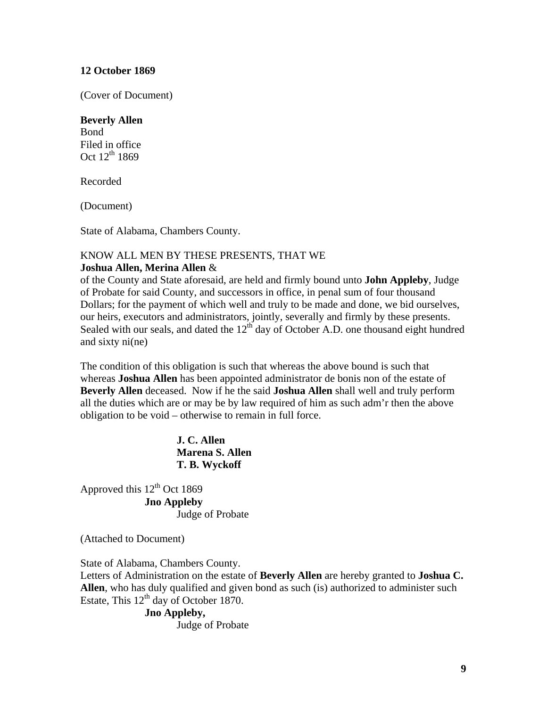## **12 October 1869**

(Cover of Document)

#### **Beverly Allen**

Bond Filed in office Oct  $12^{th}$  1869

Recorded

(Document)

State of Alabama, Chambers County.

## KNOW ALL MEN BY THESE PRESENTS, THAT WE **Joshua Allen, Merina Allen** &

of the County and State aforesaid, are held and firmly bound unto **John Appleby**, Judge of Probate for said County, and successors in office, in penal sum of four thousand Dollars; for the payment of which well and truly to be made and done, we bid ourselves, our heirs, executors and administrators, jointly, severally and firmly by these presents. Sealed with our seals, and dated the  $12<sup>th</sup>$  day of October A.D. one thousand eight hundred and sixty ni(ne)

The condition of this obligation is such that whereas the above bound is such that whereas **Joshua Allen** has been appointed administrator de bonis non of the estate of **Beverly Allen** deceased. Now if he the said **Joshua Allen** shall well and truly perform all the duties which are or may be by law required of him as such adm'r then the above obligation to be void – otherwise to remain in full force.

> **J. C. Allen Marena S. Allen T. B. Wyckoff**

Approved this  $12<sup>th</sup>$  Oct 1869 **Jno Appleby**  Judge of Probate

(Attached to Document)

State of Alabama, Chambers County. Letters of Administration on the estate of **Beverly Allen** are hereby granted to **Joshua C. Allen**, who has duly qualified and given bond as such (is) authorized to administer such Estate, This  $12<sup>th</sup>$  day of October 1870.

#### **Jno Appleby,**

Judge of Probate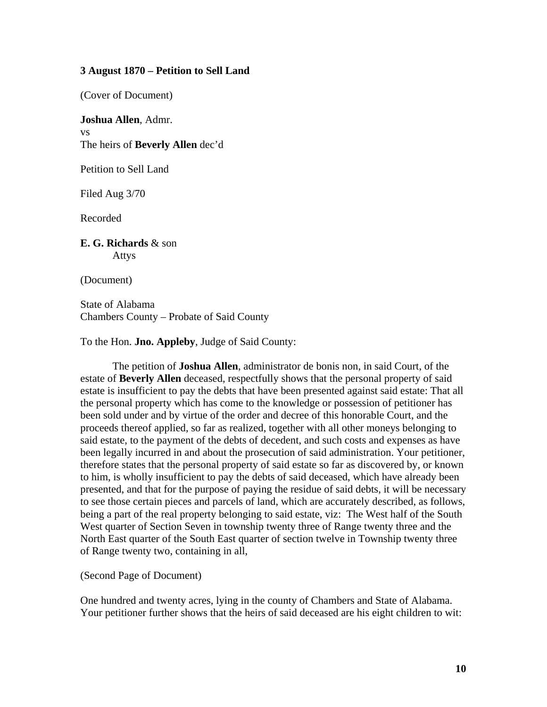#### **3 August 1870 – Petition to Sell Land**

(Cover of Document)

**Joshua Allen**, Admr. vs The heirs of **Beverly Allen** dec'd

Petition to Sell Land

Filed Aug 3/70

Recorded

**E. G. Richards** & son Attys

(Document)

State of Alabama Chambers County – Probate of Said County

To the Hon. **Jno. Appleby**, Judge of Said County:

 The petition of **Joshua Allen**, administrator de bonis non, in said Court, of the estate of **Beverly Allen** deceased, respectfully shows that the personal property of said estate is insufficient to pay the debts that have been presented against said estate: That all the personal property which has come to the knowledge or possession of petitioner has been sold under and by virtue of the order and decree of this honorable Court, and the proceeds thereof applied, so far as realized, together with all other moneys belonging to said estate, to the payment of the debts of decedent, and such costs and expenses as have been legally incurred in and about the prosecution of said administration. Your petitioner, therefore states that the personal property of said estate so far as discovered by, or known to him, is wholly insufficient to pay the debts of said deceased, which have already been presented, and that for the purpose of paying the residue of said debts, it will be necessary to see those certain pieces and parcels of land, which are accurately described, as follows, being a part of the real property belonging to said estate, viz: The West half of the South West quarter of Section Seven in township twenty three of Range twenty three and the North East quarter of the South East quarter of section twelve in Township twenty three of Range twenty two, containing in all,

(Second Page of Document)

One hundred and twenty acres, lying in the county of Chambers and State of Alabama. Your petitioner further shows that the heirs of said deceased are his eight children to wit: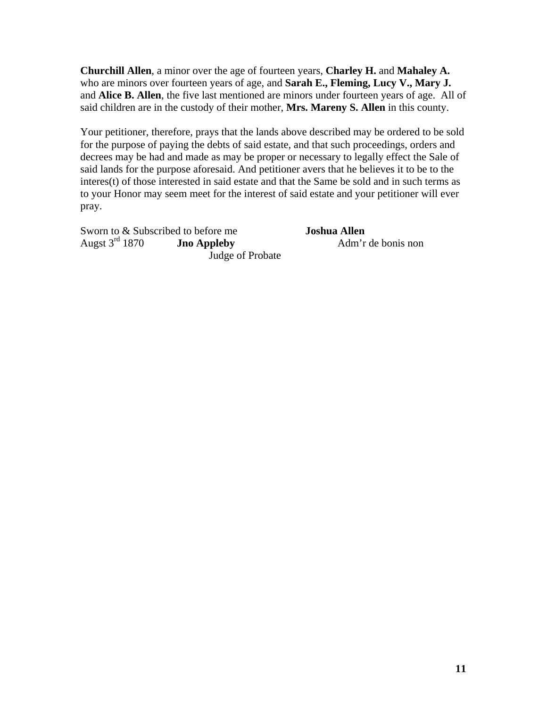**Churchill Allen**, a minor over the age of fourteen years, **Charley H.** and **Mahaley A.** who are minors over fourteen years of age, and **Sarah E., Fleming, Lucy V., Mary J.** and **Alice B. Allen**, the five last mentioned are minors under fourteen years of age. All of said children are in the custody of their mother, **Mrs. Mareny S. Allen** in this county.

Your petitioner, therefore, prays that the lands above described may be ordered to be sold for the purpose of paying the debts of said estate, and that such proceedings, orders and decrees may be had and made as may be proper or necessary to legally effect the Sale of said lands for the purpose aforesaid. And petitioner avers that he believes it to be to the interes(t) of those interested in said estate and that the Same be sold and in such terms as to your Honor may seem meet for the interest of said estate and your petitioner will ever pray.

Sworn to & Subscribed to before me<br>Augst 3<sup>rd</sup> 1870 **Jno Appleby Adm**'r Judge of Probate

**Jno Appleby** Adm'r de bonis non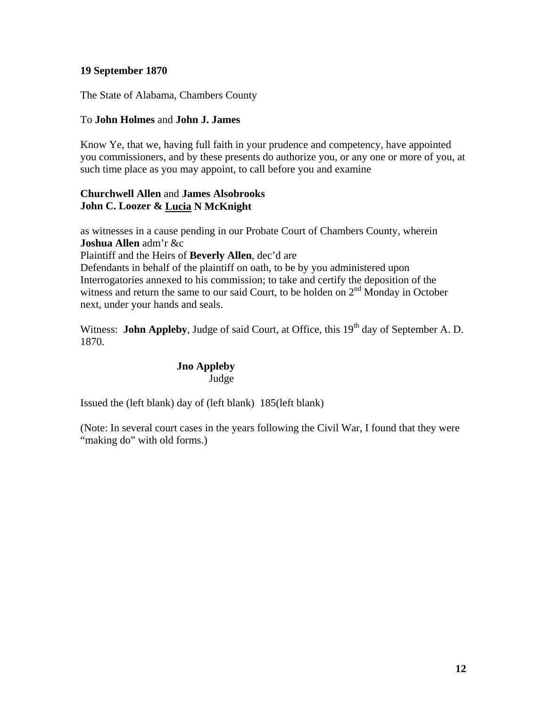## **19 September 1870**

The State of Alabama, Chambers County

## To **John Holmes** and **John J. James**

Know Ye, that we, having full faith in your prudence and competency, have appointed you commissioners, and by these presents do authorize you, or any one or more of you, at such time place as you may appoint, to call before you and examine

## **Churchwell Allen** and **James Alsobrooks John C. Loozer & Lucia N McKnight**

as witnesses in a cause pending in our Probate Court of Chambers County, wherein **Joshua Allen** adm'r &c

Plaintiff and the Heirs of **Beverly Allen**, dec'd are

Defendants in behalf of the plaintiff on oath, to be by you administered upon Interrogatories annexed to his commission; to take and certify the deposition of the witness and return the same to our said Court, to be holden on  $2<sup>nd</sup>$  Monday in October next, under your hands and seals.

Witness: **John Appleby**, Judge of said Court, at Office, this 19<sup>th</sup> day of September A. D. 1870.

## **Jno Appleby**  Judge

Issued the (left blank) day of (left blank) 185(left blank)

(Note: In several court cases in the years following the Civil War, I found that they were "making do" with old forms.)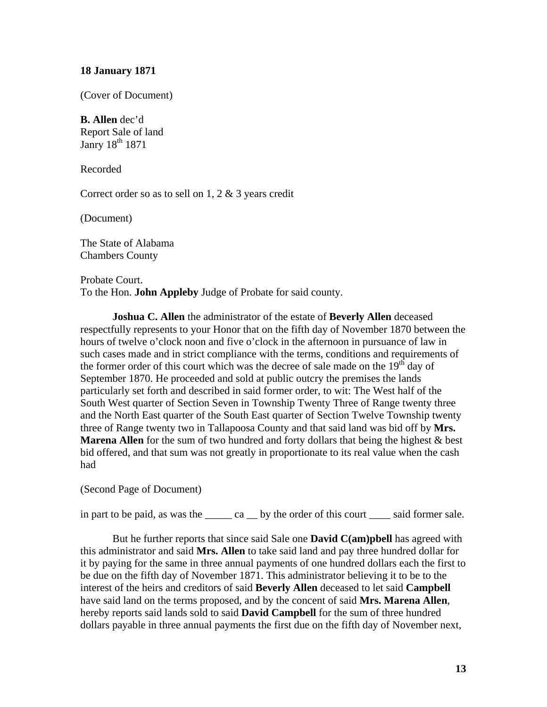#### **18 January 1871**

(Cover of Document)

#### **B. Allen** dec'd

Report Sale of land Janry 18<sup>th</sup> 1871

Recorded

Correct order so as to sell on 1, 2 & 3 years credit

(Document)

The State of Alabama Chambers County

Probate Court. To the Hon. **John Appleby** Judge of Probate for said county.

**Joshua C. Allen** the administrator of the estate of **Beverly Allen** deceased respectfully represents to your Honor that on the fifth day of November 1870 between the hours of twelve o'clock noon and five o'clock in the afternoon in pursuance of law in such cases made and in strict compliance with the terms, conditions and requirements of the former order of this court which was the decree of sale made on the  $19<sup>th</sup>$  day of September 1870. He proceeded and sold at public outcry the premises the lands particularly set forth and described in said former order, to wit: The West half of the South West quarter of Section Seven in Township Twenty Three of Range twenty three and the North East quarter of the South East quarter of Section Twelve Township twenty three of Range twenty two in Tallapoosa County and that said land was bid off by **Mrs. Marena Allen** for the sum of two hundred and forty dollars that being the highest & best bid offered, and that sum was not greatly in proportionate to its real value when the cash had

(Second Page of Document)

in part to be paid, as was the \_\_\_\_\_ ca \_\_ by the order of this court \_\_\_\_ said former sale.

But he further reports that since said Sale one **David C(am)pbell** has agreed with this administrator and said **Mrs. Allen** to take said land and pay three hundred dollar for it by paying for the same in three annual payments of one hundred dollars each the first to be due on the fifth day of November 1871. This administrator believing it to be to the interest of the heirs and creditors of said **Beverly Allen** deceased to let said **Campbell** have said land on the terms proposed, and by the concent of said **Mrs. Marena Allen**, hereby reports said lands sold to said **David Campbell** for the sum of three hundred dollars payable in three annual payments the first due on the fifth day of November next,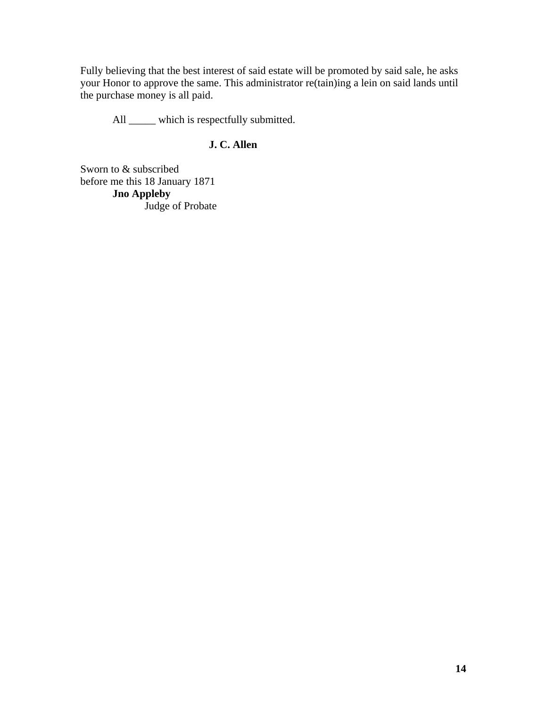Fully believing that the best interest of said estate will be promoted by said sale, he asks your Honor to approve the same. This administrator re(tain)ing a lein on said lands until the purchase money is all paid.

All \_\_\_\_\_\_ which is respectfully submitted.

## **J. C. Allen**

Sworn to & subscribed before me this 18 January 1871 **Jno Appleby** Judge of Probate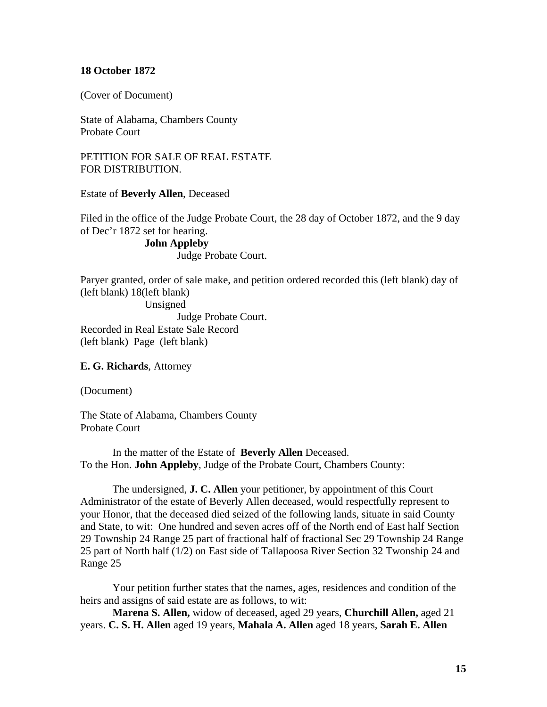#### **18 October 1872**

(Cover of Document)

State of Alabama, Chambers County Probate Court

PETITION FOR SALE OF REAL ESTATE FOR DISTRIBUTION.

Estate of **Beverly Allen**, Deceased

Filed in the office of the Judge Probate Court, the 28 day of October 1872, and the 9 day of Dec'r 1872 set for hearing.

> **John Appleby** Judge Probate Court.

Paryer granted, order of sale make, and petition ordered recorded this (left blank) day of (left blank) 18(left blank) Unsigned Judge Probate Court. Recorded in Real Estate Sale Record (left blank) Page (left blank)

**E. G. Richards**, Attorney

(Document)

The State of Alabama, Chambers County Probate Court

In the matter of the Estate of **Beverly Allen** Deceased. To the Hon. **John Appleby**, Judge of the Probate Court, Chambers County:

 The undersigned, **J. C. Allen** your petitioner, by appointment of this Court Administrator of the estate of Beverly Allen deceased, would respectfully represent to your Honor, that the deceased died seized of the following lands, situate in said County and State, to wit: One hundred and seven acres off of the North end of East half Section 29 Township 24 Range 25 part of fractional half of fractional Sec 29 Township 24 Range 25 part of North half (1/2) on East side of Tallapoosa River Section 32 Twonship 24 and Range 25

Your petition further states that the names, ages, residences and condition of the heirs and assigns of said estate are as follows, to wit:

**Marena S. Allen,** widow of deceased, aged 29 years, **Churchill Allen,** aged 21 years. **C. S. H. Allen** aged 19 years, **Mahala A. Allen** aged 18 years, **Sarah E. Allen**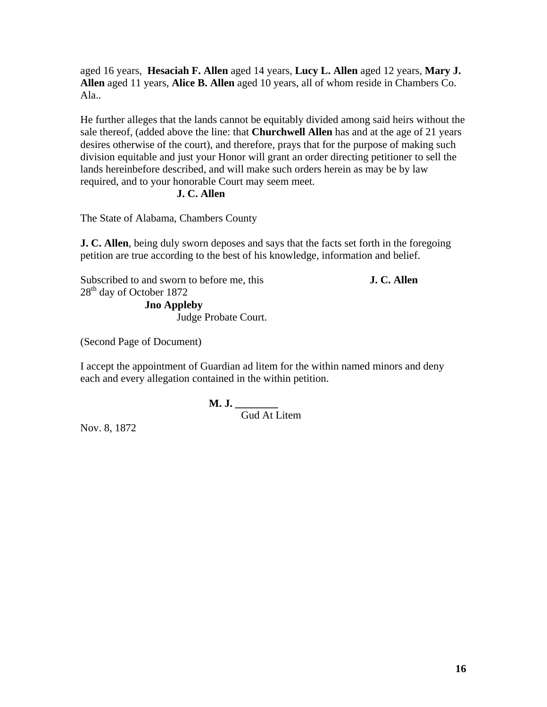aged 16 years, **Hesaciah F. Allen** aged 14 years, **Lucy L. Allen** aged 12 years, **Mary J. Allen** aged 11 years, **Alice B. Allen** aged 10 years, all of whom reside in Chambers Co. Ala..

He further alleges that the lands cannot be equitably divided among said heirs without the sale thereof, (added above the line: that **Churchwell Allen** has and at the age of 21 years desires otherwise of the court), and therefore, prays that for the purpose of making such division equitable and just your Honor will grant an order directing petitioner to sell the lands hereinbefore described, and will make such orders herein as may be by law required, and to your honorable Court may seem meet.

#### **J. C. Allen**

The State of Alabama, Chambers County

**J. C. Allen**, being duly sworn deposes and says that the facts set forth in the foregoing petition are true according to the best of his knowledge, information and belief.

Subscribed to and sworn to before me, this **J. C. Allen** 28<sup>th</sup> day of October 1872 **Jno Appleby** Judge Probate Court.

(Second Page of Document)

I accept the appointment of Guardian ad litem for the within named minors and deny each and every allegation contained in the within petition.

**M. J. \_\_\_\_\_\_\_\_** 

Gud At Litem

Nov. 8, 1872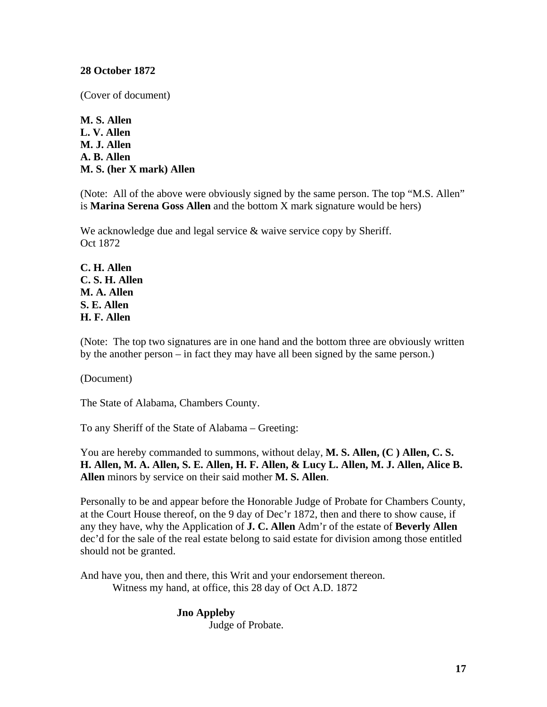## **28 October 1872**

(Cover of document)

**M. S. Allen L. V. Allen M. J. Allen A. B. Allen M. S. (her X mark) Allen** 

(Note: All of the above were obviously signed by the same person. The top "M.S. Allen" is **Marina Serena Goss Allen** and the bottom X mark signature would be hers)

We acknowledge due and legal service & waive service copy by Sheriff. Oct 1872

**C. H. Allen C. S. H. Allen M. A. Allen S. E. Allen H. F. Allen**

(Note: The top two signatures are in one hand and the bottom three are obviously written by the another person – in fact they may have all been signed by the same person.)

(Document)

The State of Alabama, Chambers County.

To any Sheriff of the State of Alabama – Greeting:

You are hereby commanded to summons, without delay, **M. S. Allen, (C ) Allen, C. S. H. Allen, M. A. Allen, S. E. Allen, H. F. Allen, & Lucy L. Allen, M. J. Allen, Alice B. Allen** minors by service on their said mother **M. S. Allen**.

Personally to be and appear before the Honorable Judge of Probate for Chambers County, at the Court House thereof, on the 9 day of Dec'r 1872, then and there to show cause, if any they have, why the Application of **J. C. Allen** Adm'r of the estate of **Beverly Allen** dec'd for the sale of the real estate belong to said estate for division among those entitled should not be granted.

And have you, then and there, this Writ and your endorsement thereon. Witness my hand, at office, this 28 day of Oct A.D. 1872

## **Jno Appleby** Judge of Probate.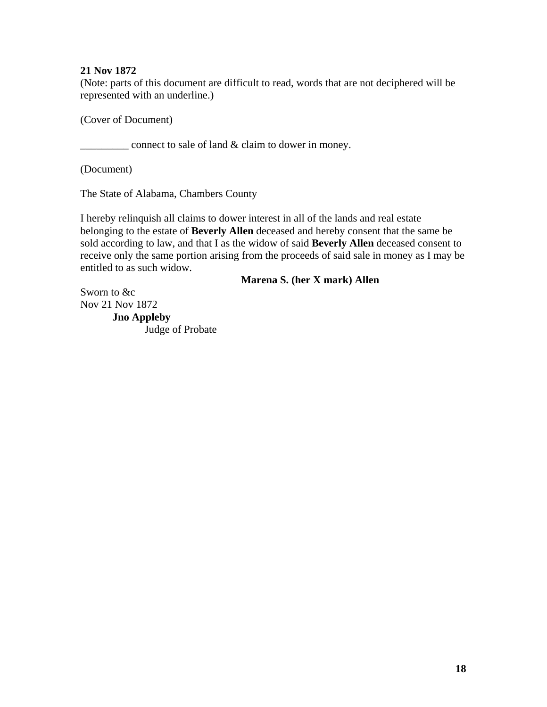## **21 Nov 1872**

(Note: parts of this document are difficult to read, words that are not deciphered will be represented with an underline.)

(Cover of Document)

\_\_\_\_\_\_\_\_\_ connect to sale of land & claim to dower in money.

(Document)

The State of Alabama, Chambers County

I hereby relinquish all claims to dower interest in all of the lands and real estate belonging to the estate of **Beverly Allen** deceased and hereby consent that the same be sold according to law, and that I as the widow of said **Beverly Allen** deceased consent to receive only the same portion arising from the proceeds of said sale in money as I may be entitled to as such widow.

**Marena S. (her X mark) Allen**

Sworn to &c Nov 21 Nov 1872 **Jno Appleby** Judge of Probate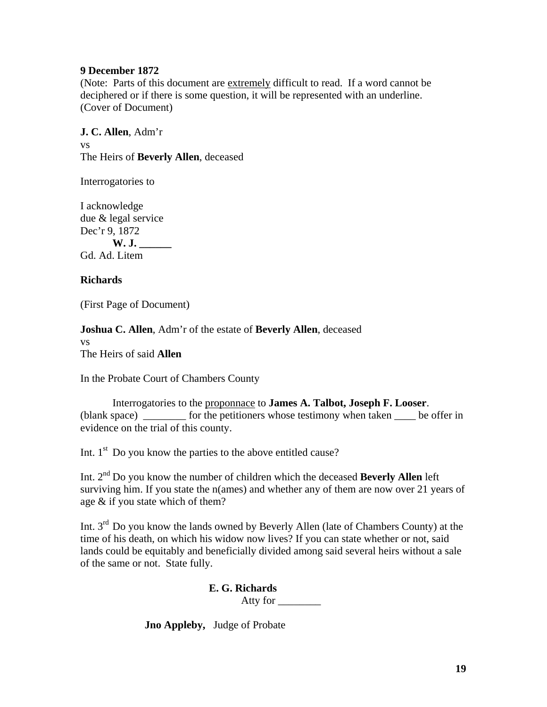#### **9 December 1872**

(Note: Parts of this document are extremely difficult to read. If a word cannot be deciphered or if there is some question, it will be represented with an underline. (Cover of Document)

**J. C. Allen**, Adm'r vs The Heirs of **Beverly Allen**, deceased

Interrogatories to

I acknowledge due & legal service Dec'r 9, 1872 **W. J. \_\_\_\_\_\_** Gd. Ad. Litem

## **Richards**

(First Page of Document)

**Joshua C. Allen**, Adm'r of the estate of **Beverly Allen**, deceased vs The Heirs of said **Allen** 

In the Probate Court of Chambers County

Interrogatories to the proponnace to **James A. Talbot, Joseph F. Looser**. (blank space) for the petitioners whose testimony when taken be offer in evidence on the trial of this county.

Int.  $1<sup>st</sup>$  Do you know the parties to the above entitled cause?

Int. 2nd Do you know the number of children which the deceased **Beverly Allen** left surviving him. If you state the n(ames) and whether any of them are now over 21 years of age & if you state which of them?

Int. 3rd Do you know the lands owned by Beverly Allen (late of Chambers County) at the time of his death, on which his widow now lives? If you can state whether or not, said lands could be equitably and beneficially divided among said several heirs without a sale of the same or not. State fully.

**E. G. Richards**

Atty for \_\_\_\_\_\_\_\_

**Jno Appleby,** Judge of Probate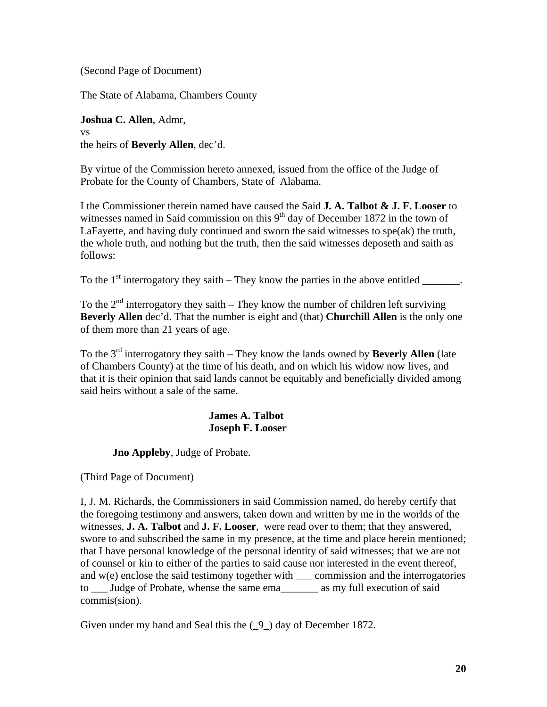(Second Page of Document)

The State of Alabama, Chambers County

**Joshua C. Allen**, Admr, vs the heirs of **Beverly Allen**, dec'd.

By virtue of the Commission hereto annexed, issued from the office of the Judge of Probate for the County of Chambers, State of Alabama.

I the Commissioner therein named have caused the Said **J. A. Talbot & J. F. Looser** to witnesses named in Said commission on this  $9<sup>th</sup>$  day of December 1872 in the town of LaFayette, and having duly continued and sworn the said witnesses to spe(ak) the truth, the whole truth, and nothing but the truth, then the said witnesses deposeth and saith as follows:

To the  $1<sup>st</sup>$  interrogatory they saith – They know the parties in the above entitled  $\qquad \qquad$ .

To the  $2<sup>nd</sup>$  interrogatory they saith – They know the number of children left surviving **Beverly Allen** dec'd. That the number is eight and (that) **Churchill Allen** is the only one of them more than 21 years of age.

To the 3rd interrogatory they saith – They know the lands owned by **Beverly Allen** (late of Chambers County) at the time of his death, and on which his widow now lives, and that it is their opinion that said lands cannot be equitably and beneficially divided among said heirs without a sale of the same.

## **James A. Talbot Joseph F. Looser**

 **Jno Appleby**, Judge of Probate.

(Third Page of Document)

I, J. M. Richards, the Commissioners in said Commission named, do hereby certify that the foregoing testimony and answers, taken down and written by me in the worlds of the witnesses, **J. A. Talbot** and **J. F. Looser**, were read over to them; that they answered, swore to and subscribed the same in my presence, at the time and place herein mentioned; that I have personal knowledge of the personal identity of said witnesses; that we are not of counsel or kin to either of the parties to said cause nor interested in the event thereof, and  $w(e)$  enclose the said testimony together with commission and the interrogatories to \_\_\_ Judge of Probate, whense the same ema\_\_\_\_\_\_\_ as my full execution of said commis(sion).

Given under my hand and Seal this the  $(9)$  day of December 1872.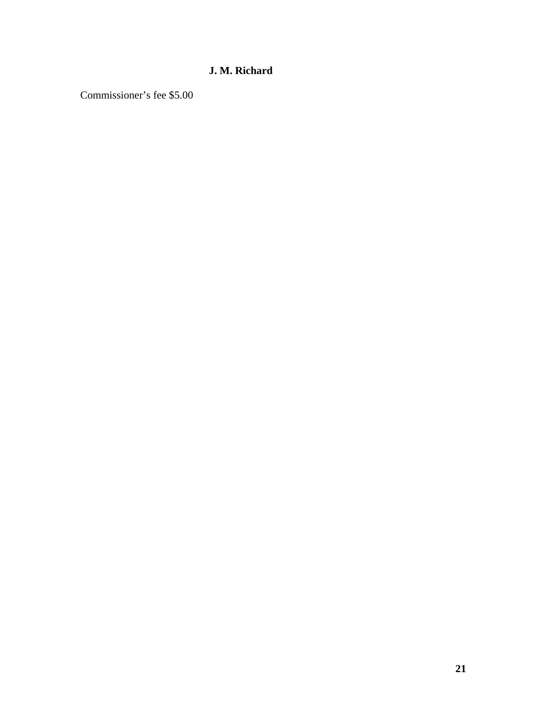# **J. M. Richard**

Commissioner's fee \$5.00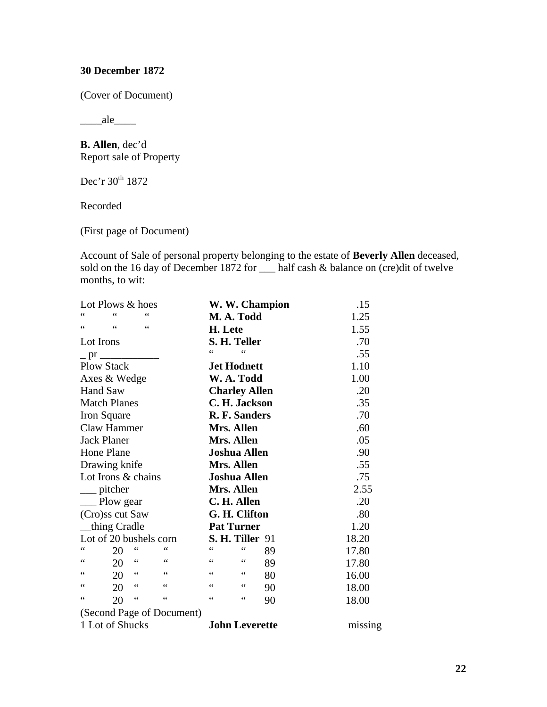## **30 December 1872**

(Cover of Document)

 $\_\_$ ale $\_\_$ 

**B. Allen**, dec'd Report sale of Property

Dec'r 30<sup>th</sup> 1872

Recorded

(First page of Document)

Account of Sale of personal property belonging to the estate of **Beverly Allen** deceased, sold on the 16 day of December 1872 for \_\_\_ half cash & balance on (cre)dit of twelve months, to wit:

| Lot Plows & hoes                                       | W. W. Champion              | .15     |
|--------------------------------------------------------|-----------------------------|---------|
| 66<br>66<br>66                                         | M. A. Todd                  | 1.25    |
| $\zeta$ $\zeta$<br>66<br>$\zeta$ $\zeta$               | H. Lete                     | 1.55    |
| Lot Irons                                              | S. H. Teller                | .70     |
| $-$ pr $\frac{ }{ }$                                   | 66<br>66                    | .55     |
| <b>Plow Stack</b>                                      | <b>Jet Hodnett</b>          | 1.10    |
| Axes & Wedge                                           | W. A. Todd                  | 1.00    |
| <b>Hand Saw</b>                                        | <b>Charley Allen</b>        | .20     |
| <b>Match Planes</b>                                    | C. H. Jackson               | .35     |
| Iron Square                                            | R. F. Sanders               | .70     |
| Claw Hammer                                            | Mrs. Allen                  | .60     |
| Jack Planer                                            | Mrs. Allen                  | .05     |
| Hone Plane                                             | <b>Joshua Allen</b>         | .90     |
| Drawing knife                                          | Mrs. Allen                  | .55     |
| Lot Irons & chains                                     | <b>Joshua Allen</b>         | .75     |
| pitcher                                                | Mrs. Allen                  | 2.55    |
| __ Plow gear                                           | C. H. Allen                 | .20     |
| (Cro)ss cut Saw                                        | G. H. Clifton               | .80     |
| thing Cradle                                           | <b>Pat Turner</b>           | 1.20    |
| Lot of 20 bushels corn                                 | <b>S. H. Tiller 91</b>      | 18.20   |
| $\zeta$ $\zeta$<br>$\epsilon$<br>$\zeta$ $\zeta$<br>20 | 66<br>66<br>89              | 17.80   |
| $\zeta$ $\zeta$<br>66<br>$\zeta$ $\zeta$<br>20         | 66<br>$\leq \leq$<br>89     | 17.80   |
| $\zeta$ $\zeta$<br>66<br>$\zeta$ $\zeta$<br>20         | 66<br>$\zeta$ $\zeta$<br>80 | 16.00   |
| $\zeta$ $\zeta$<br>66<br>$\zeta$ $\zeta$<br>20         | $\zeta$ $\zeta$<br>66<br>90 | 18.00   |
| 66<br>66<br>$\mbox{\bf 6}$ $\mbox{\bf 6}$<br>20        | $\zeta$ $\zeta$<br>66<br>90 | 18.00   |
| (Second Page of Document)                              |                             |         |
| 1 Lot of Shucks                                        | <b>John Leverette</b>       | missing |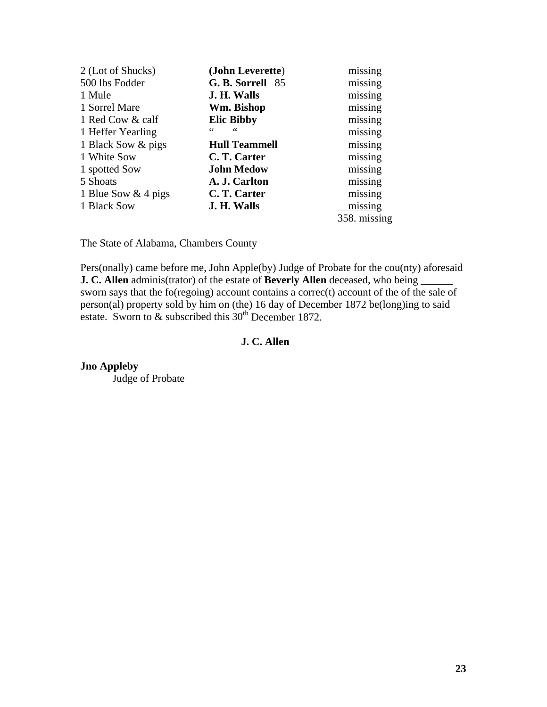| (John Leverette)     | missing      |
|----------------------|--------------|
| G. B. Sorrell 85     | missing      |
| J. H. Walls          | missing      |
| Wm. Bishop           | missing      |
| <b>Elic Bibby</b>    | missing      |
| 66<br>66             | missing      |
| <b>Hull Teammell</b> | missing      |
| C. T. Carter         | missing      |
| <b>John Medow</b>    | missing      |
| A. J. Carlton        | missing      |
| C. T. Carter         | missing      |
| J. H. Walls          | missing      |
|                      | 358. missing |
|                      |              |

The State of Alabama, Chambers County

Pers(onally) came before me, John Apple(by) Judge of Probate for the cou(nty) aforesaid **J. C. Allen** adminis(trator) of the estate of **Beverly Allen** deceased, who being sworn says that the fo(regoing) account contains a correc(t) account of the of the sale of person(al) property sold by him on (the) 16 day of December 1872 be(long)ing to said estate. Sworn to  $\&$  subscribed this  $30<sup>th</sup>$  December 1872.

## **J. C. Allen**

**Jno Appleby** Judge of Probate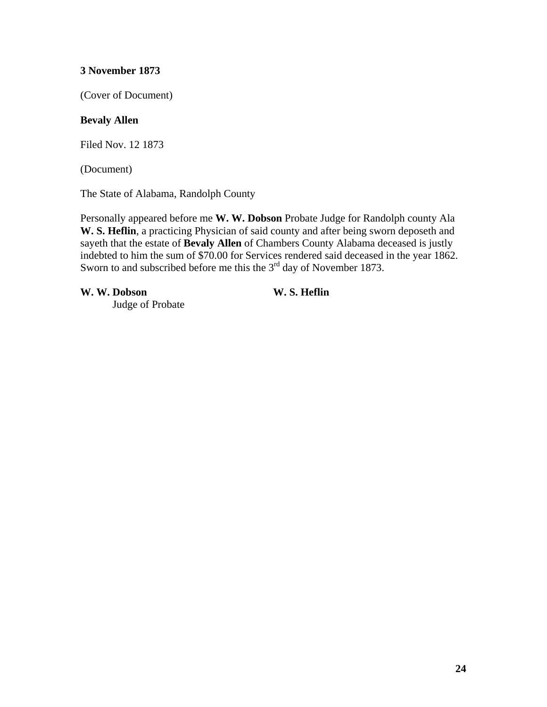(Cover of Document)

## **Bevaly Allen**

Filed Nov. 12 1873

(Document)

The State of Alabama, Randolph County

Personally appeared before me **W. W. Dobson** Probate Judge for Randolph county Ala **W. S. Heflin**, a practicing Physician of said county and after being sworn deposeth and sayeth that the estate of **Bevaly Allen** of Chambers County Alabama deceased is justly indebted to him the sum of \$70.00 for Services rendered said deceased in the year 1862. Sworn to and subscribed before me this the  $3<sup>rd</sup>$  day of November 1873.

**W. W. Dobson W. S. Heflin**

Judge of Probate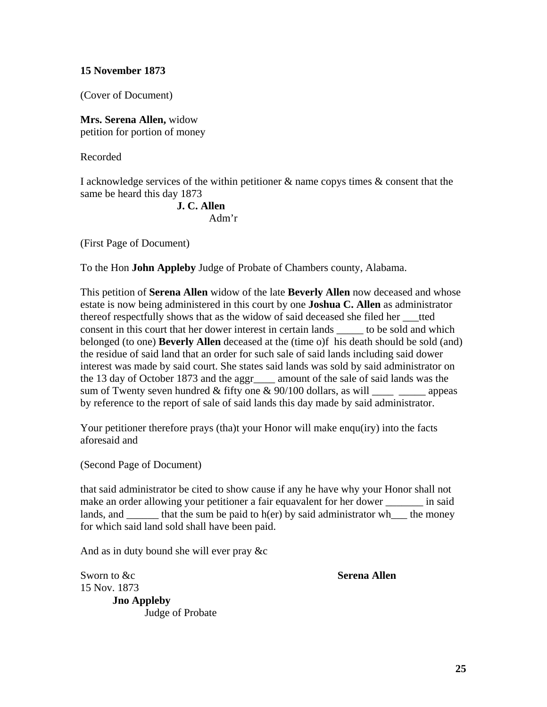(Cover of Document)

**Mrs. Serena Allen,** widow petition for portion of money

Recorded

I acknowledge services of the within petitioner & name copys times & consent that the same be heard this day 1873

# **J. C. Allen**

Adm'r

(First Page of Document)

To the Hon **John Appleby** Judge of Probate of Chambers county, Alabama.

This petition of **Serena Allen** widow of the late **Beverly Allen** now deceased and whose estate is now being administered in this court by one **Joshua C. Allen** as administrator thereof respectfully shows that as the widow of said deceased she filed her \_\_\_tted consent in this court that her dower interest in certain lands to be sold and which belonged (to one) **Beverly Allen** deceased at the (time o)f his death should be sold (and) the residue of said land that an order for such sale of said lands including said dower interest was made by said court. She states said lands was sold by said administrator on the 13 day of October 1873 and the aggr\_\_\_\_ amount of the sale of said lands was the sum of Twenty seven hundred  $&$  fifty one  $& 90/100$  dollars, as will appeas by reference to the report of sale of said lands this day made by said administrator.

Your petitioner therefore prays (tha)t your Honor will make enqu(iry) into the facts aforesaid and

(Second Page of Document)

that said administrator be cited to show cause if any he have why your Honor shall not make an order allowing your petitioner a fair equavalent for her dower in said lands, and that the sum be paid to h(er) by said administrator when the money for which said land sold shall have been paid.

And as in duty bound she will ever pray &c

Sworn to &c **Serena Allen** 15 Nov. 1873

**Jno Appleby**  Judge of Probate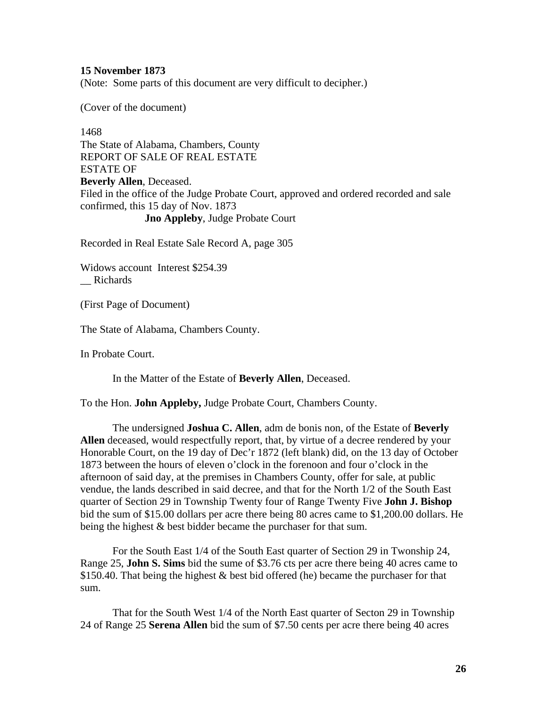(Note: Some parts of this document are very difficult to decipher.)

(Cover of the document)

1468 The State of Alabama, Chambers, County REPORT OF SALE OF REAL ESTATE ESTATE OF **Beverly Allen**, Deceased. Filed in the office of the Judge Probate Court, approved and ordered recorded and sale confirmed, this 15 day of Nov. 1873 **Jno Appleby**, Judge Probate Court

Recorded in Real Estate Sale Record A, page 305

Widows account Interest \$254.39 \_\_ Richards

(First Page of Document)

The State of Alabama, Chambers County.

In Probate Court.

In the Matter of the Estate of **Beverly Allen**, Deceased.

To the Hon. **John Appleby,** Judge Probate Court, Chambers County.

 The undersigned **Joshua C. Allen**, adm de bonis non, of the Estate of **Beverly Allen** deceased, would respectfully report, that, by virtue of a decree rendered by your Honorable Court, on the 19 day of Dec'r 1872 (left blank) did, on the 13 day of October 1873 between the hours of eleven o'clock in the forenoon and four o'clock in the afternoon of said day, at the premises in Chambers County, offer for sale, at public vendue, the lands described in said decree, and that for the North 1/2 of the South East quarter of Section 29 in Township Twenty four of Range Twenty Five **John J. Bishop** bid the sum of \$15.00 dollars per acre there being 80 acres came to \$1,200.00 dollars. He being the highest & best bidder became the purchaser for that sum.

For the South East 1/4 of the South East quarter of Section 29 in Twonship 24, Range 25, **John S. Sims** bid the sume of \$3.76 cts per acre there being 40 acres came to \$150.40. That being the highest  $&$  best bid offered (he) became the purchaser for that sum.

That for the South West 1/4 of the North East quarter of Secton 29 in Township 24 of Range 25 **Serena Allen** bid the sum of \$7.50 cents per acre there being 40 acres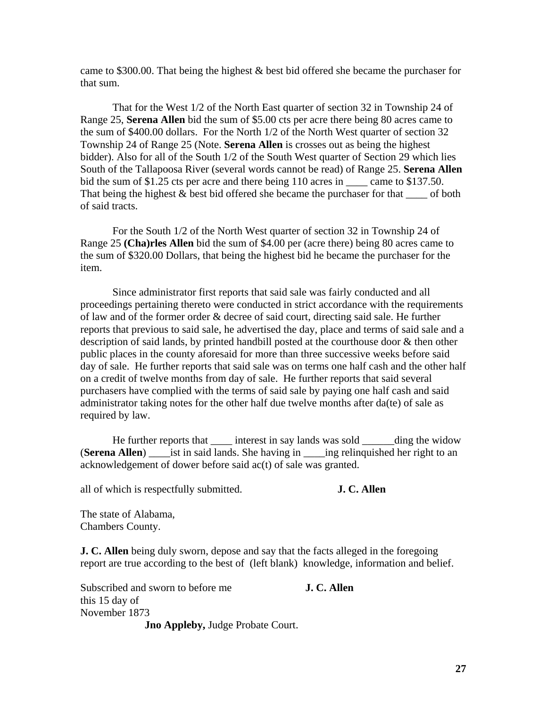came to \$300.00. That being the highest & best bid offered she became the purchaser for that sum.

That for the West 1/2 of the North East quarter of section 32 in Township 24 of Range 25, **Serena Allen** bid the sum of \$5.00 cts per acre there being 80 acres came to the sum of \$400.00 dollars. For the North 1/2 of the North West quarter of section 32 Township 24 of Range 25 (Note. **Serena Allen** is crosses out as being the highest bidder). Also for all of the South 1/2 of the South West quarter of Section 29 which lies South of the Tallapoosa River (several words cannot be read) of Range 25. **Serena Allen** bid the sum of \$1.25 cts per acre and there being 110 acres in \_\_\_\_\_ came to \$137.50. That being the highest  $&$  best bid offered she became the purchaser for that  $\_\_$  of both of said tracts.

For the South 1/2 of the North West quarter of section 32 in Township 24 of Range 25 **(Cha)rles Allen** bid the sum of \$4.00 per (acre there) being 80 acres came to the sum of \$320.00 Dollars, that being the highest bid he became the purchaser for the item.

Since administrator first reports that said sale was fairly conducted and all proceedings pertaining thereto were conducted in strict accordance with the requirements of law and of the former order & decree of said court, directing said sale. He further reports that previous to said sale, he advertised the day, place and terms of said sale and a description of said lands, by printed handbill posted at the courthouse door & then other public places in the county aforesaid for more than three successive weeks before said day of sale. He further reports that said sale was on terms one half cash and the other half on a credit of twelve months from day of sale. He further reports that said several purchasers have complied with the terms of said sale by paying one half cash and said administrator taking notes for the other half due twelve months after da(te) of sale as required by law.

He further reports that \_\_\_\_\_\_ interest in say lands was sold \_\_\_\_\_\_\_ding the widow (**Serena Allen**) \_\_\_\_ist in said lands. She having in \_\_\_\_ing relinquished her right to an acknowledgement of dower before said ac(t) of sale was granted.

all of which is respectfully submitted. **J. C. Allen**

The state of Alabama, Chambers County.

**J. C. Allen** being duly sworn, depose and say that the facts alleged in the foregoing report are true according to the best of (left blank) knowledge, information and belief.

Subscribed and sworn to before me **J. C. Allen** this 15 day of November 1873 **Jno Appleby,** Judge Probate Court.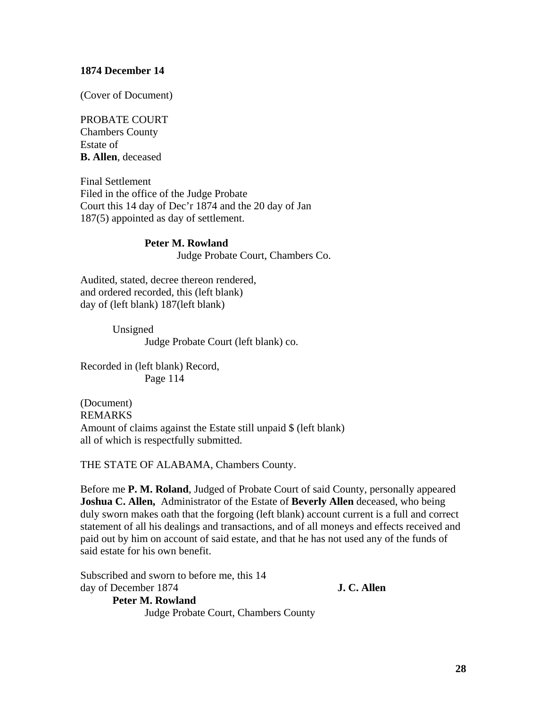#### **1874 December 14**

(Cover of Document)

#### PROBATE COURT

Chambers County Estate of **B. Allen**, deceased

Final Settlement Filed in the office of the Judge Probate Court this 14 day of Dec'r 1874 and the 20 day of Jan 187(5) appointed as day of settlement.

# **Peter M. Rowland** Judge Probate Court, Chambers Co.

Audited, stated, decree thereon rendered, and ordered recorded, this (left blank) day of (left blank) 187(left blank)

> Unsigned Judge Probate Court (left blank) co.

Recorded in (left blank) Record, Page 114

(Document) REMARKS Amount of claims against the Estate still unpaid \$ (left blank) all of which is respectfully submitted.

THE STATE OF ALABAMA, Chambers County.

Before me **P. M. Roland**, Judged of Probate Court of said County, personally appeared **Joshua C. Allen,** Administrator of the Estate of **Beverly Allen** deceased, who being duly sworn makes oath that the forgoing (left blank) account current is a full and correct statement of all his dealings and transactions, and of all moneys and effects received and paid out by him on account of said estate, and that he has not used any of the funds of said estate for his own benefit.

Subscribed and sworn to before me, this 14 day of December 1874 **J. C. Allen Peter M. Rowland**

Judge Probate Court, Chambers County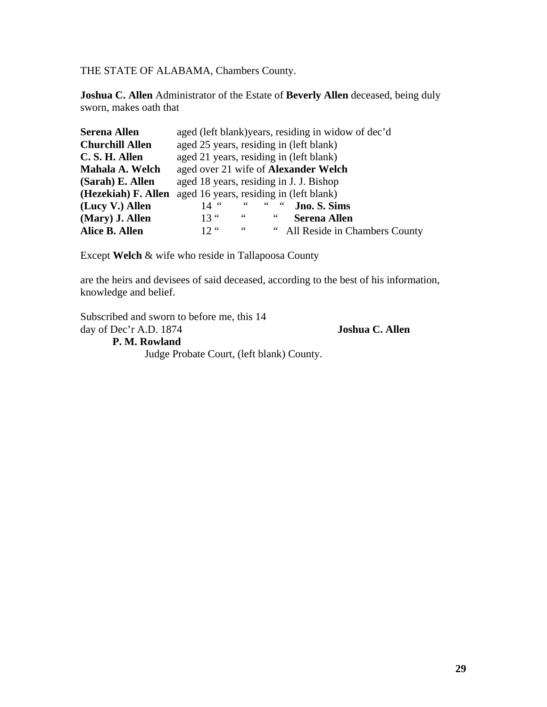THE STATE OF ALABAMA, Chambers County.

**Joshua C. Allen** Administrator of the Estate of **Beverly Allen** deceased, being duly sworn, makes oath that

| <b>Serena Allen</b>    | aged (left blank) years, residing in widow of dec'd          |  |  |
|------------------------|--------------------------------------------------------------|--|--|
| <b>Churchill Allen</b> | aged 25 years, residing in (left blank)                      |  |  |
| C. S. H. Allen         | aged 21 years, residing in (left blank)                      |  |  |
| Mahala A. Welch        | aged over 21 wife of <b>Alexander Welch</b>                  |  |  |
| (Sarah) E. Allen       | aged 18 years, residing in J. J. Bishop                      |  |  |
| (Hezekiah) F. Allen    | aged 16 years, residing in (left blank)                      |  |  |
| (Lucy V.) Allen        | $66 = 66$<br>$\epsilon$ $\epsilon$<br>Jno. S. Sims<br>$14$ " |  |  |
| (Mary) J. Allen        | $13$ "<br>$\,$ 6 6 $\,$<br>66<br><b>Serena Allen</b>         |  |  |
| Alice B. Allen         | $12.$ "<br>66<br>All Reside in Chambers County               |  |  |

Except **Welch** & wife who reside in Tallapoosa County

are the heirs and devisees of said deceased, according to the best of his information, knowledge and belief.

Subscribed and sworn to before me, this 14 day of Dec'r A.D. 1874 **Joshua C. Allen P. M. Rowland**

Judge Probate Court, (left blank) County.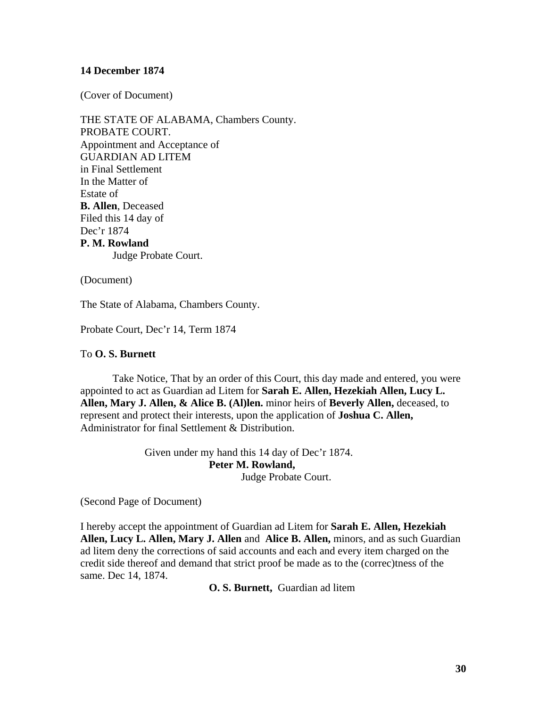#### **14 December 1874**

(Cover of Document)

THE STATE OF ALABAMA, Chambers County. PROBATE COURT. Appointment and Acceptance of GUARDIAN AD LITEM in Final Settlement In the Matter of Estate of **B. Allen**, Deceased Filed this 14 day of Dec'r 1874 **P. M. Rowland**  Judge Probate Court.

(Document)

The State of Alabama, Chambers County.

Probate Court, Dec'r 14, Term 1874

#### To **O. S. Burnett**

Take Notice, That by an order of this Court, this day made and entered, you were appointed to act as Guardian ad Litem for **Sarah E. Allen, Hezekiah Allen, Lucy L. Allen, Mary J. Allen, & Alice B. (Al)len.** minor heirs of **Beverly Allen,** deceased, to represent and protect their interests, upon the application of **Joshua C. Allen,**  Administrator for final Settlement & Distribution.

> Given under my hand this 14 day of Dec'r 1874. **Peter M. Rowland,** Judge Probate Court.

(Second Page of Document)

I hereby accept the appointment of Guardian ad Litem for **Sarah E. Allen, Hezekiah Allen, Lucy L. Allen, Mary J. Allen** and **Alice B. Allen,** minors, and as such Guardian ad litem deny the corrections of said accounts and each and every item charged on the credit side thereof and demand that strict proof be made as to the (correc)tness of the same. Dec 14, 1874.

**O. S. Burnett,** Guardian ad litem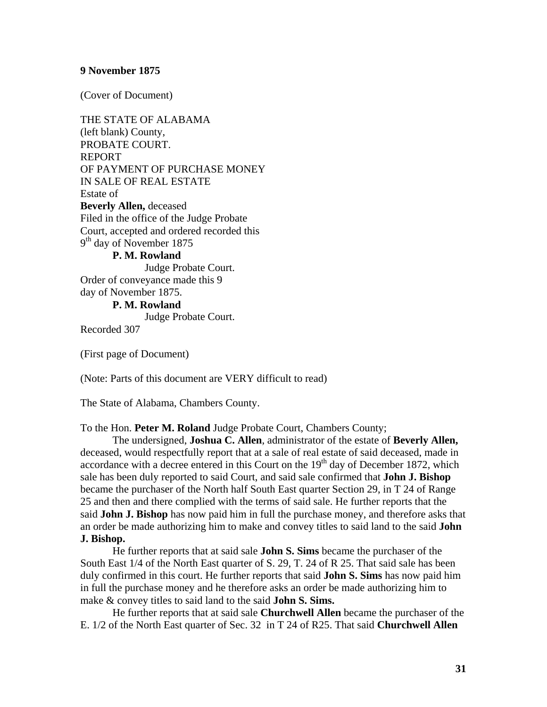(Cover of Document)

THE STATE OF ALABAMA (left blank) County, PROBATE COURT. REPORT OF PAYMENT OF PURCHASE MONEY IN SALE OF REAL ESTATE Estate of **Beverly Allen,** deceased Filed in the office of the Judge Probate Court, accepted and ordered recorded this 9<sup>th</sup> day of November 1875

**P. M. Rowland**

 Judge Probate Court. Order of conveyance made this 9 day of November 1875. **P. M. Rowland**

Judge Probate Court.

Recorded 307

(First page of Document)

(Note: Parts of this document are VERY difficult to read)

The State of Alabama, Chambers County.

To the Hon. **Peter M. Roland** Judge Probate Court, Chambers County;

 The undersigned, **Joshua C. Allen**, administrator of the estate of **Beverly Allen,** deceased, would respectfully report that at a sale of real estate of said deceased, made in accordance with a decree entered in this Court on the  $19<sup>th</sup>$  day of December 1872, which sale has been duly reported to said Court, and said sale confirmed that **John J. Bishop** became the purchaser of the North half South East quarter Section 29, in T 24 of Range 25 and then and there complied with the terms of said sale. He further reports that the said **John J. Bishop** has now paid him in full the purchase money, and therefore asks that an order be made authorizing him to make and convey titles to said land to the said **John J. Bishop.**

He further reports that at said sale **John S. Sims** became the purchaser of the South East 1/4 of the North East quarter of S. 29, T. 24 of R 25. That said sale has been duly confirmed in this court. He further reports that said **John S. Sims** has now paid him in full the purchase money and he therefore asks an order be made authorizing him to make & convey titles to said land to the said **John S. Sims.**

He further reports that at said sale **Churchwell Allen** became the purchaser of the E. 1/2 of the North East quarter of Sec. 32 in T 24 of R25. That said **Churchwell Allen**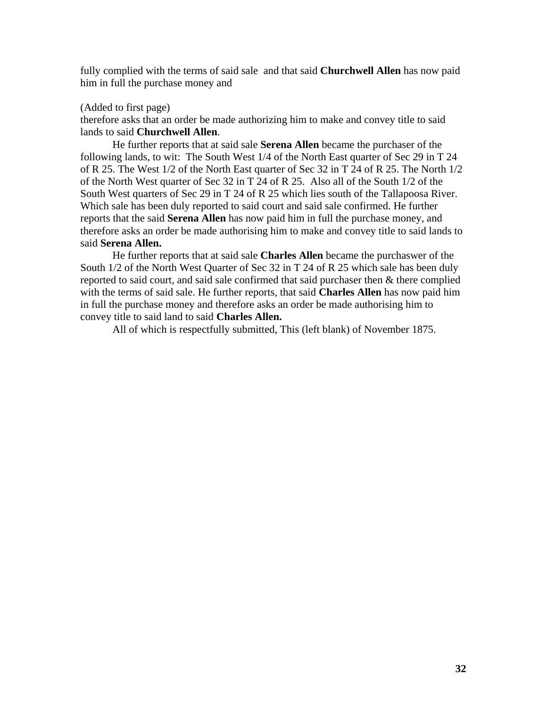fully complied with the terms of said sale and that said **Churchwell Allen** has now paid him in full the purchase money and

#### (Added to first page)

therefore asks that an order be made authorizing him to make and convey title to said lands to said **Churchwell Allen**.

He further reports that at said sale **Serena Allen** became the purchaser of the following lands, to wit: The South West 1/4 of the North East quarter of Sec 29 in T 24 of R 25. The West 1/2 of the North East quarter of Sec 32 in T 24 of R 25. The North 1/2 of the North West quarter of Sec 32 in T 24 of R 25. Also all of the South 1/2 of the South West quarters of Sec 29 in T 24 of R 25 which lies south of the Tallapoosa River. Which sale has been duly reported to said court and said sale confirmed. He further reports that the said **Serena Allen** has now paid him in full the purchase money, and therefore asks an order be made authorising him to make and convey title to said lands to said **Serena Allen.**

He further reports that at said sale **Charles Allen** became the purchaswer of the South 1/2 of the North West Quarter of Sec 32 in T 24 of R 25 which sale has been duly reported to said court, and said sale confirmed that said purchaser then & there complied with the terms of said sale. He further reports, that said **Charles Allen** has now paid him in full the purchase money and therefore asks an order be made authorising him to convey title to said land to said **Charles Allen.**

All of which is respectfully submitted, This (left blank) of November 1875.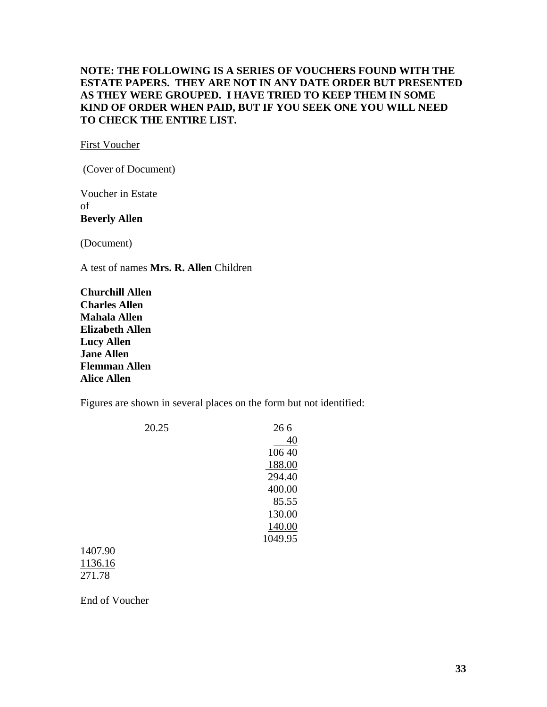## **NOTE: THE FOLLOWING IS A SERIES OF VOUCHERS FOUND WITH THE ESTATE PAPERS. THEY ARE NOT IN ANY DATE ORDER BUT PRESENTED AS THEY WERE GROUPED. I HAVE TRIED TO KEEP THEM IN SOME KIND OF ORDER WHEN PAID, BUT IF YOU SEEK ONE YOU WILL NEED TO CHECK THE ENTIRE LIST.**

First Voucher

(Cover of Document)

Voucher in Estate of **Beverly Allen** 

(Document)

A test of names **Mrs. R. Allen** Children

**Churchill Allen Charles Allen Mahala Allen Elizabeth Allen Lucy Allen Jane Allen Flemman Allen Alice Allen** 

Figures are shown in several places on the form but not identified:

| 20.25   | 266     |
|---------|---------|
|         | 40      |
|         | 106 40  |
|         | 188.00  |
|         | 294.40  |
|         | 400.00  |
|         | 85.55   |
|         | 130.00  |
|         | 140.00  |
|         | 1049.95 |
| 1407.90 |         |
| 1136.16 |         |

140<sup> $\degree$ </sup> 113 271.78

End of Voucher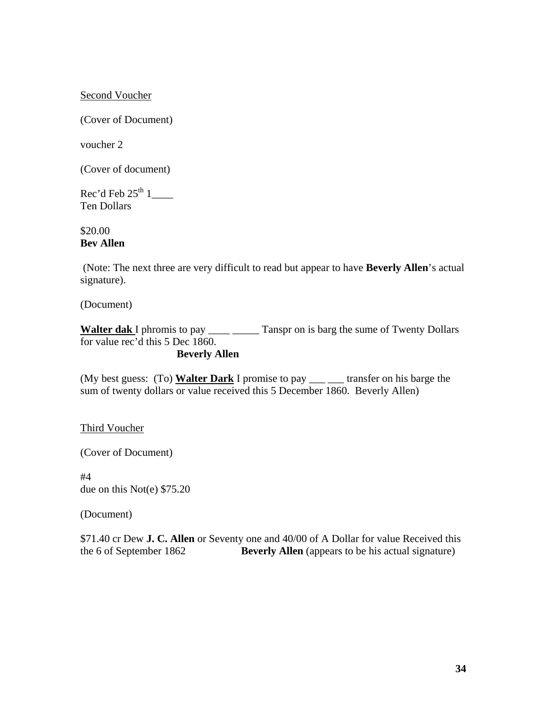Second Voucher

(Cover of Document)

voucher 2

(Cover of document)

Rec'd Feb  $25^{\text{th}}$  1\_\_\_\_\_ Ten Dollars

\$20.00 **Bev Allen**

 (Note: The next three are very difficult to read but appear to have **Beverly Allen**'s actual signature).

(Document)

**Walter dak** I phromis to pay \_\_\_\_ \_\_\_\_\_ Tanspr on is barg the sume of Twenty Dollars for value rec'd this 5 Dec 1860.

**Beverly Allen** 

(My best guess: (To) **Walter Dark** I promise to pay \_\_\_ \_\_\_ transfer on his barge the sum of twenty dollars or value received this 5 December 1860. Beverly Allen)

Third Voucher

(Cover of Document)

#4 due on this Not(e) \$75.20

(Document)

\$71.40 cr Dew **J. C. Allen** or Seventy one and 40/00 of A Dollar for value Received this the 6 of September 1862 **Beverly Allen** (appears to be his actual signature)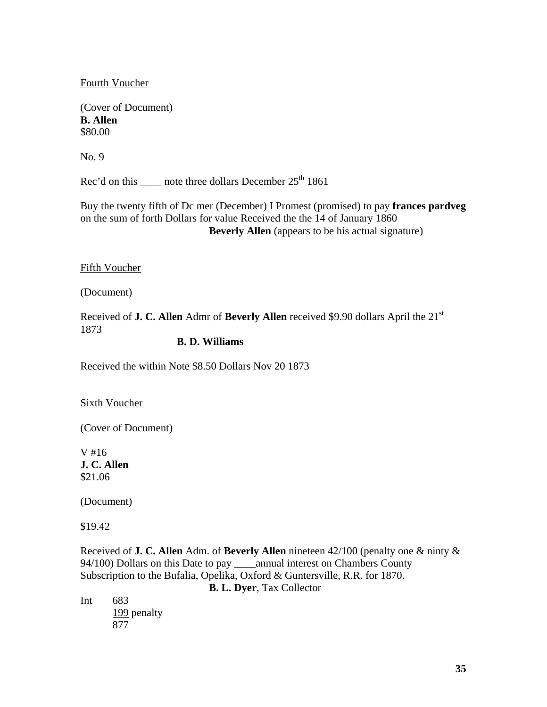Fourth Voucher

(Cover of Document) **B. Allen** \$80.00

No. 9

Rec'd on this  $\frac{1}{25}$  note three dollars December 25<sup>th</sup> 1861

Buy the twenty fifth of Dc mer (December) I Promest (promised) to pay **frances pardveg** on the sum of forth Dollars for value Received the the 14 of January 1860 **Beverly Allen** (appears to be his actual signature)

Fifth Voucher

(Document)

Received of **J. C. Allen** Admr of **Beverly Allen** received \$9.90 dollars April the 21st 1873

#### **B. D. Williams**

Received the within Note \$8.50 Dollars Nov 20 1873

Sixth Voucher

(Cover of Document)

V #16 **J. C. Allen** \$21.06

(Document)

\$19.42

Received of **J. C. Allen** Adm. of **Beverly Allen** nineteen 42/100 (penalty one & ninty & 94/100) Dollars on this Date to pay \_\_\_\_annual interest on Chambers County Subscription to the Bufalia, Opelika, Oxford & Guntersville, R.R. for 1870.

**B. L. Dyer**, Tax Collector

Int 683 199 penalty 877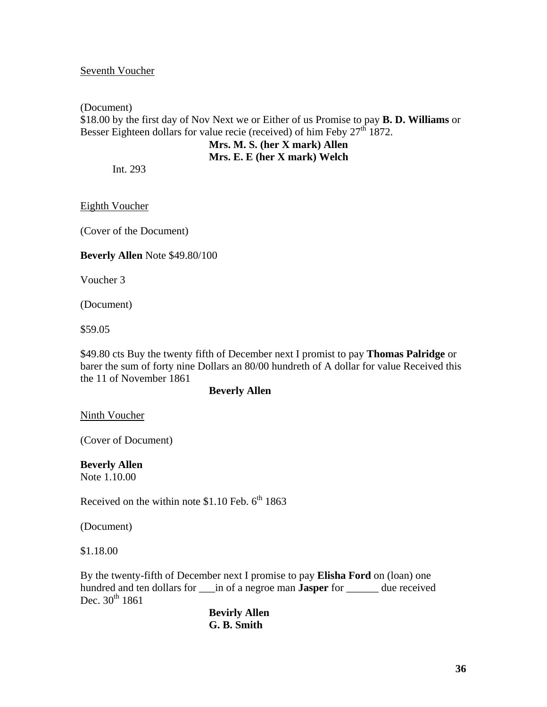#### Seventh Voucher

# (Document) \$18.00 by the first day of Nov Next we or Either of us Promise to pay **B. D. Williams** or Besser Eighteen dollars for value recie (received) of him Feby  $27<sup>th</sup> 1872$ . **Mrs. M. S. (her X mark) Allen**

## **Mrs. E. E (her X mark) Welch**

Int. 293

Eighth Voucher

(Cover of the Document)

#### **Beverly Allen** Note \$49.80/100

Voucher 3

(Document)

\$59.05

\$49.80 cts Buy the twenty fifth of December next I promist to pay **Thomas Palridge** or barer the sum of forty nine Dollars an 80/00 hundreth of A dollar for value Received this the 11 of November 1861

#### **Beverly Allen**

Ninth Voucher

(Cover of Document)

**Beverly Allen**  Note 1.10.00

Received on the within note  $$1.10$  Feb.  $6^{th}$  1863

(Document)

\$1.18.00

By the twenty-fifth of December next I promise to pay **Elisha Ford** on (loan) one hundred and ten dollars for \_\_\_in of a negroe man **Jasper** for \_\_\_\_\_\_ due received Dec.  $30^{th}$  1861

 **Bevirly Allen G. B. Smith**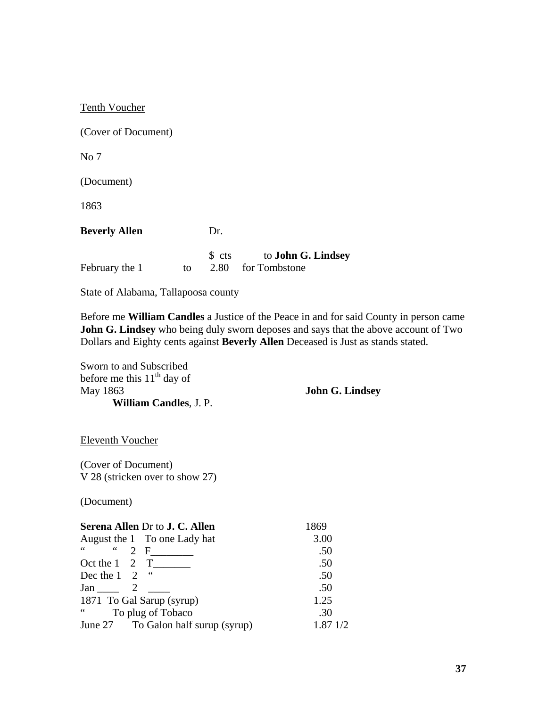| Tenth Voucher        |    |                                |                                            |
|----------------------|----|--------------------------------|--------------------------------------------|
| (Cover of Document)  |    |                                |                                            |
| No 7                 |    |                                |                                            |
| (Document)           |    |                                |                                            |
| 1863                 |    |                                |                                            |
| <b>Beverly Allen</b> |    | Dr.                            |                                            |
| February the 1       | to | $\text{\$} \text{cts}$<br>2.80 | to <b>John G. Lindsey</b><br>for Tombstone |

State of Alabama, Tallapoosa county

Before me **William Candles** a Justice of the Peace in and for said County in person came **John G. Lindsey** who being duly sworn deposes and says that the above account of Two Dollars and Eighty cents against **Beverly Allen** Deceased is Just as stands stated.

Sworn to and Subscribed before me this  $11<sup>th</sup>$  day of May 1863 **William Candles**, J. P.

**John G. Lindsey** 

Eleventh Voucher

(Cover of Document) V 28 (stricken over to show 27)

(Document)

| <b>Serena Allen Dr to J. C. Allen</b>                          | 1869               |  |
|----------------------------------------------------------------|--------------------|--|
| August the 1 To one Lady hat                                   | 3.00               |  |
| $66 -$<br>$\sim$ 6.6 $\sim$<br>2 F                             | .50                |  |
| Oct the $1 \quad 2 \quad T$                                    | .50                |  |
| Dec the $1 \quad 2 \quad$ "                                    | .50                |  |
| Jan $2$                                                        | .50                |  |
| 1871 To Gal Sarup (syrup)                                      | 1.25               |  |
| $\boldsymbol{\zeta}$ $\boldsymbol{\zeta}$<br>To plug of Tobaco | .30                |  |
| June 27 To Galon half surup (syrup)                            | $1.87 \frac{1}{2}$ |  |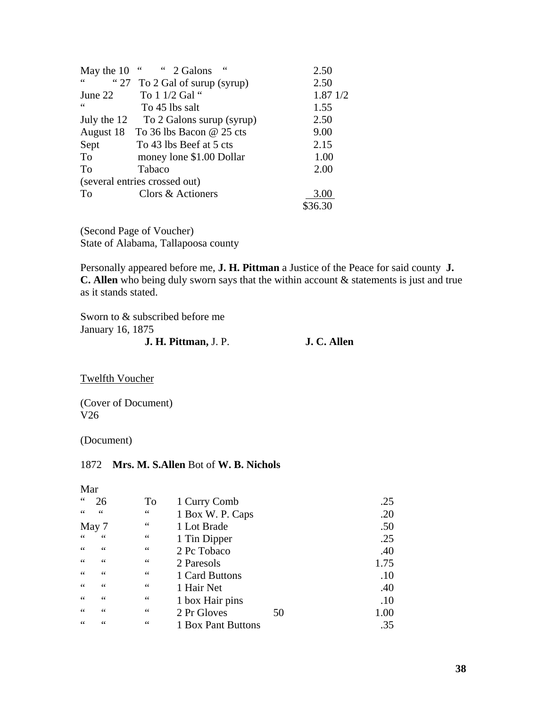| May the 10                          | 66<br>2 Galons                | 2.50     |
|-------------------------------------|-------------------------------|----------|
| $\zeta$ $\zeta$<br>$\cdot \cdot$ 27 | To 2 Gal of surup (syrup)     | 2.50     |
| June 22                             | To 1 1/2 Gal "                | 1.87 1/2 |
| $\leq \leq$                         | To 45 lbs salt                | 1.55     |
| July the 12                         | To 2 Galons surup (syrup)     | 2.50     |
| August 18                           | To 36 lbs Bacon $@$ 25 cts    | 9.00     |
| Sept                                | To 43 lbs Beef at 5 cts       | 2.15     |
| To                                  | money lone \$1.00 Dollar      | 1.00     |
| To                                  | Tabaco                        | 2.00     |
|                                     | (several entries crossed out) |          |
| To                                  | Clors & Actioners             | 3.00     |
|                                     |                               | \$36.30  |

(Second Page of Voucher) State of Alabama, Tallapoosa county

Personally appeared before me, **J. H. Pittman** a Justice of the Peace for said county **J. C. Allen** who being duly sworn says that the within account & statements is just and true as it stands stated.

Sworn to & subscribed before me January 16, 1875 **J. H. Pittman,** J. P. **J. C. Allen** 

Twelfth Voucher

(Cover of Document) V26

(Document)

### 1872 **Mrs. M. S.Allen** Bot of **W. B. Nichols**

#### Mar

| 66              |       | To     | 1 Curry Comb       |    | .25  |
|-----------------|-------|--------|--------------------|----|------|
| $\zeta \zeta$   | 66    | $\,66$ | 1 Box W. P. Caps   |    | .20  |
|                 | May 7 | 66     | 1 Lot Brade        |    | .50  |
| 66              | 66    | 66     | 1 Tin Dipper       |    | .25  |
| 66              | 66    | 66     | 2 Pc Tobaco        |    | .40  |
| 66              | 66    | 66     | 2 Paresols         |    | 1.75 |
| 66              | 66    | 66     | 1 Card Buttons     |    | .10  |
| $\zeta$ $\zeta$ | 66    | 66     | 1 Hair Net         |    | .40  |
| 66              | 66    | 66     | 1 box Hair pins    |    | .10  |
| 66              | 66    | 66     | 2 Pr Gloves        | 50 | 1.00 |
| 66              | 66    | 66     | 1 Box Pant Buttons |    | .35  |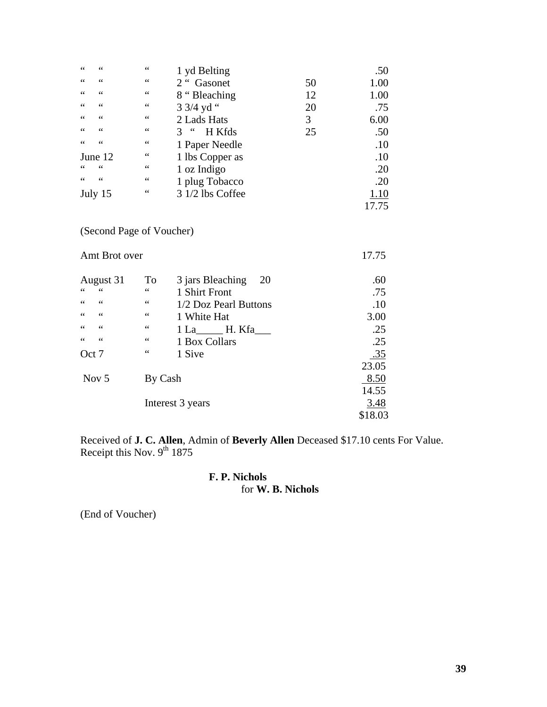| 66       | 66                            | 1 yd Belting              |    | .50   |
|----------|-------------------------------|---------------------------|----|-------|
| 66<br>66 | $\leq$ $\leq$                 | 2 " Gasonet               | 50 | 1.00  |
| 66<br>66 | $\leq$ $\leq$                 | 8 "Bleaching              | 12 | 1.00  |
| 66<br>66 | 66                            | 3 3/4 yd "                | 20 | .75   |
| 66<br>66 | 66                            | 2 Lads Hats               | 3  | 6.00  |
| 66<br>66 | 66                            | $\epsilon$<br>H Kfds<br>3 | 25 | .50   |
| 66<br>66 | $\leq$ $\leq$                 | 1 Paper Needle            |    | .10   |
| June 12  | 66                            | 1 lbs Copper as           |    | .10   |
| 66<br>66 | 66                            | 1 oz Indigo               |    | .20   |
| 66<br>66 | $\leq$ $\leq$                 | 1 plug Tobacco            |    | .20   |
| July 15  | $\mbox{\bf 6}$ $\mbox{\bf 6}$ | 3 1/2 lbs Coffee          |    | 1.10  |
|          |                               |                           |    | 17.75 |

(Second Page of Voucher)

| Amt Brot over                       |             |                        | 17.75      |
|-------------------------------------|-------------|------------------------|------------|
| August 31                           | To          | 3 jars Bleaching<br>20 | .60        |
| 66<br>$\zeta$ $\zeta$               | $\leq \leq$ | 1 Shirt Front          | .75        |
| 66<br>$\mbox{\bf 6}$ $\mbox{\bf 6}$ | $\leq \leq$ | 1/2 Doz Pearl Buttons  | .10        |
| 66<br>66                            | 66          | 1 White Hat            | 3.00       |
| 66<br>66                            | $\leq \leq$ | 1 La H. Kfa            | .25        |
| 66<br>66                            | $\leq \leq$ | 1 Box Collars          | .25        |
| Oct 7                               | 66          | 1 Sive                 | <u>.35</u> |
|                                     |             |                        | 23.05      |
| Nov <sub>5</sub>                    | By Cash     |                        | 8.50       |
|                                     |             |                        | 14.55      |
|                                     |             | Interest 3 years       | 3.48       |
|                                     |             |                        | \$18.03    |

Received of **J. C. Allen**, Admin of **Beverly Allen** Deceased \$17.10 cents For Value. Receipt this Nov.  $9^{th}$  1875

#### **F. P. Nichols** for **W. B. Nichols**

(End of Voucher)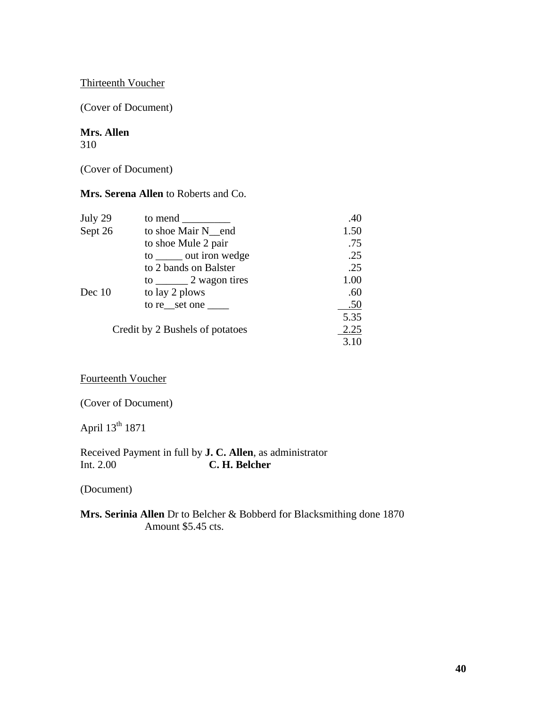#### Thirteenth Voucher

(Cover of Document)

## **Mrs. Allen**

310

(Cover of Document)

**Mrs. Serena Allen** to Roberts and Co.

| July 29 | to mend                         | .40  |
|---------|---------------------------------|------|
| Sept 26 | to shoe Mair N end              | 1.50 |
|         | to shoe Mule 2 pair             | .75  |
|         | to ______ out iron wedge        | .25  |
|         | to 2 bands on Balster           | .25  |
|         | to $\frac{2}{1}$ wagon tires    | 1.00 |
| Dec 10  | to lay 2 plows                  | .60  |
|         | to re set one                   | .50  |
|         |                                 | 5.35 |
|         | Credit by 2 Bushels of potatoes | 2.25 |
|         |                                 | 3.10 |

Fourteenth Voucher

(Cover of Document)

April 13th 1871

Received Payment in full by **J. C. Allen**, as administrator<br>Int. 2.00 **C. H. Belcher** C. H. Belcher

(Document)

**Mrs. Serinia Allen** Dr to Belcher & Bobberd for Blacksmithing done 1870 Amount \$5.45 cts.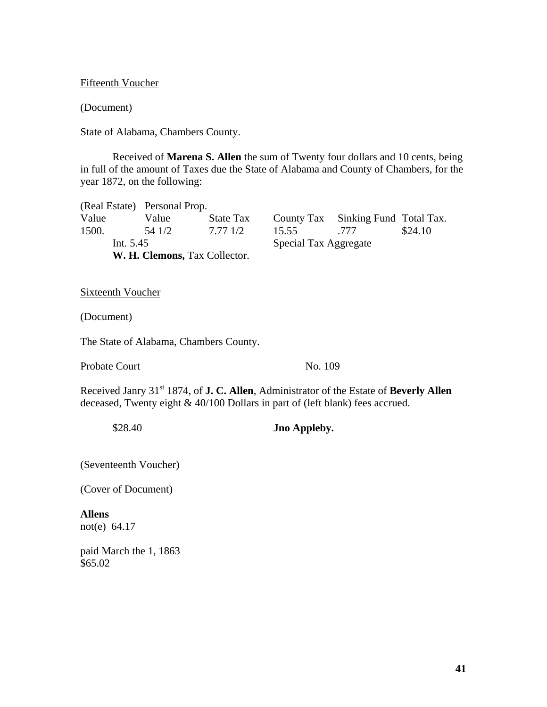Fifteenth Voucher

(Document)

State of Alabama, Chambers County.

 Received of **Marena S. Allen** the sum of Twenty four dollars and 10 cents, being in full of the amount of Taxes due the State of Alabama and County of Chambers, for the year 1872, on the following:

(Real Estate) Personal Prop. Value Value State Tax County Tax Sinking Fund Total Tax. 1500. 54 1/2 7.77 1/2 15.55 .777 \$24.10 Int. 5.45 Special Tax Aggregate **W. H. Clemons,** Tax Collector.

**Sixteenth Voucher** 

(Document)

The State of Alabama, Chambers County.

Probate Court No. 109

Received Janry 31<sup>st</sup> 1874, of **J. C. Allen**, Administrator of the Estate of **Beverly Allen** deceased, Twenty eight & 40/100 Dollars in part of (left blank) fees accrued.

\$28.40 **Jno Appleby.** 

(Seventeenth Voucher)

(Cover of Document)

**Allens** not(e) 64.17

paid March the 1, 1863 \$65.02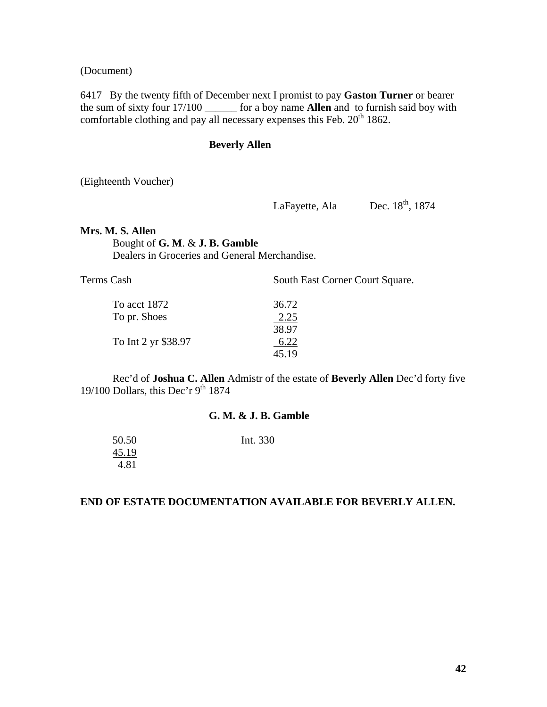(Document)

6417 By the twenty fifth of December next I promist to pay **Gaston Turner** or bearer the sum of sixty four 17/100 \_\_\_\_\_\_ for a boy name **Allen** and to furnish said boy with comfortable clothing and pay all necessary expenses this Feb.  $20<sup>th</sup> 1862$ .

#### **Beverly Allen**

(Eighteenth Voucher)

LaFayette, Ala Dec.  $18<sup>th</sup>$ , 1874

#### **Mrs. M. S. Allen**

Bought of **G. M**. & **J. B. Gamble** 

Dealers in Groceries and General Merchandise.

| Terms Cash          | South East Corner Court Square. |  |  |
|---------------------|---------------------------------|--|--|
| To acct 1872        | 36.72                           |  |  |
| To pr. Shoes        | <u>2.25</u>                     |  |  |
|                     | 38.97                           |  |  |
| To Int 2 yr \$38.97 | 6.22                            |  |  |
|                     | 45.19                           |  |  |
|                     |                                 |  |  |

 Rec'd of **Joshua C. Allen** Admistr of the estate of **Beverly Allen** Dec'd forty five 19/100 Dollars, this Dec'r  $9<sup>th</sup> 1874$ 

#### **G. M. & J. B. Gamble**

| 50.50 | Int. 330 |
|-------|----------|
| 45.19 |          |
| 4.81  |          |

## **END OF ESTATE DOCUMENTATION AVAILABLE FOR BEVERLY ALLEN.**